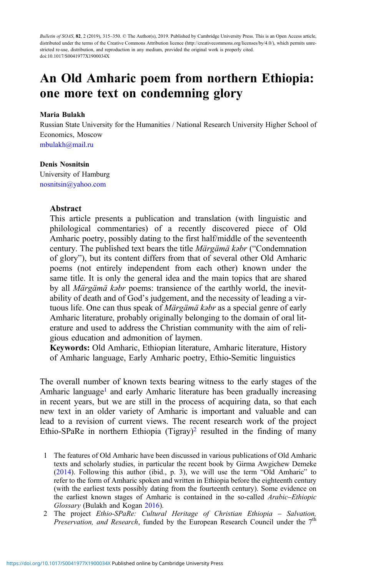Bulletin of SOAS, 82, 2 (2019), 315-350. © The Author(s), 2019. Published by Cambridge University Press. This is an Open Access article, distributed under the terms of the Creative Commons Attribution licence (http://creativecommons.org/licenses/by/4.0/), which permits unrestricted re-use, distribution, and reproduction in any medium, provided the original work is properly cited. doi:10.1017/S0041977X1900034X

# An Old Amharic poem from northern Ethiopia: one more text on condemning glory

#### Maria Bulakh

Russian State University for the Humanities / National Research University Higher School of Economics, Moscow [mbulakh@mail.ru](mailto:mbulakh@mail.ru)

#### Denis Nosnitsin

University of Hamburg [nosnitsin@yahoo.com](mailto:nosnitsin@yahoo.com)

# Abstract

This article presents a publication and translation (with linguistic and philological commentaries) of a recently discovered piece of Old Amharic poetry, possibly dating to the first half/middle of the seventeenth century. The published text bears the title Märgämä kəbr ("Condemnation of glory"), but its content differs from that of several other Old Amharic poems (not entirely independent from each other) known under the same title. It is only the general idea and the main topics that are shared by all Märgämä kəbr poems: transience of the earthly world, the inevitability of death and of God's judgement, and the necessity of leading a virtuous life. One can thus speak of *Märgämä kabr* as a special genre of early Amharic literature, probably originally belonging to the domain of oral literature and used to address the Christian community with the aim of religious education and admonition of laymen.

Keywords: Old Amharic, Ethiopian literature, Amharic literature, History of Amharic language, Early Amharic poetry, Ethio-Semitic linguistics

The overall number of known texts bearing witness to the early stages of the Amharic language<sup>1</sup> and early Amharic literature has been gradually increasing in recent years, but we are still in the process of acquiring data, so that each new text in an older variety of Amharic is important and valuable and can lead to a revision of current views. The recent research work of the project Ethio-SPaRe in northern Ethiopia (Tigray)<sup>2</sup> resulted in the finding of many

- 1 The features of Old Amharic have been discussed in various publications of Old Amharic texts and scholarly studies, in particular the recent book by Girma Awgichew Demeke [\(2014](#page-32-0)). Following this author (ibid., p. 3), we will use the term "Old Amharic" to refer to the form of Amharic spoken and written in Ethiopia before the eighteenth century (with the earliest texts possibly dating from the fourteenth century). Some evidence on the earliest known stages of Amharic is contained in the so-called Arabic–Ethiopic Glossary (Bulakh and Kogan [2016\)](#page-31-0).
- 2 The project Ethio-SPaRe: Cultural Heritage of Christian Ethiopia Salvation, Preservation, and Research, funded by the European Research Council under the  $7<sup>th</sup>$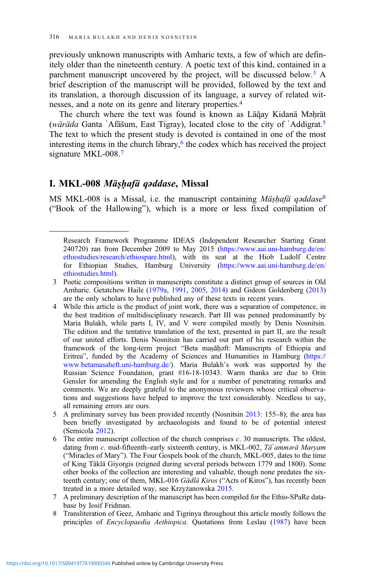previously unknown manuscripts with Amharic texts, a few of which are definitely older than the nineteenth century. A poetic text of this kind, contained in a parchment manuscript uncovered by the project, will be discussed below.<sup>3</sup> A brief description of the manuscript will be provided, followed by the text and its translation, a thorough discussion of its language, a survey of related witnesses, and a note on its genre and literary properties.4

The church where the text was found is known as Läğay Kidanä Mǝhrät (wäräda Ganta ʾAfäšum, East Tigray), located close to the city of ʿAddigrat.5 The text to which the present study is devoted is contained in one of the most interesting items in the church library, $6$  the codex which has received the project signature MKL-008.<sup>7</sup>

# I. MKL-008 Mäṣḥafä qəddase, Missal

MS MKL-008 is a Missal, i.e. the manuscript containing Mäshafä qəddase<sup>8</sup> ("Book of the Hallowing"), which is a more or less fixed compilation of

Research Framework Programme IDEAS (Independent Researcher Starting Grant 240720) ran from December 2009 to May 2015 [\(https://www.aai.uni-hamburg.de/en/](https://www.aai.uni-hamburg.de/en/ethiostudies/research/ethiospare.html) [ethiostudies/research/ethiospare.html](https://www.aai.uni-hamburg.de/en/ethiostudies/research/ethiospare.html)), with its seat at the Hiob Ludolf Centre for Ethiopian Studies, Hamburg University [\(https://www.aai.uni-hamburg.de/en/](https://www.aai.uni-hamburg.de/en/ethiostudies.html) [ethiostudies.html](https://www.aai.uni-hamburg.de/en/ethiostudies.html)).

<sup>3</sup> Poetic compositions written in manuscripts constitute a distinct group of sources in Old Amharic. Getatchew Haile ([1979a,](#page-32-0) [1991](#page-32-0), [2005,](#page-32-0) [2014\)](#page-32-0) and Gideon Goldenberg [\(2013](#page-33-0)) are the only scholars to have published any of these texts in recent years.

<sup>4</sup> While this article is the product of joint work, there was a separation of competence, in the best tradition of multidisciplinary research. Part III was penned predominantly by Maria Bulakh, while parts I, IV, and V were compiled mostly by Denis Nosnitsin. The edition and the tentative translation of the text, presented in part II, are the result of our united efforts. Denis Nosnitsin has carried out part of his research within the framework of the long-term project "Beta maṣāḥəft: Manuscripts of Ethiopia and Eritrea", funded by the Academy of Sciences and Humanities in Hamburg [\(https://](https://www.betamasaheft.uni-hamburg.de/) [www.betamasaheft.uni-hamburg.de/](https://www.betamasaheft.uni-hamburg.de/)). Maria Bulakh's work was supported by the Russian Science Foundation, grant #16-18-10343. Warm thanks are due to Orin Gensler for amending the English style and for a number of penetrating remarks and comments. We are deeply grateful to the anonymous reviewers whose critical observations and suggestions have helped to improve the text considerably. Needless to say, all remaining errors are ours.

<sup>5</sup> A preliminary survey has been provided recently (Nosnitsin [2013:](#page-34-0) 155–8); the area has been briefly investigated by archaeologists and found to be of potential interest (Sernicola [2012\)](#page-34-0).

<sup>6</sup> The entire manuscript collection of the church comprises c. 30 manuscripts. The oldest, dating from c. mid-fifteenth–early sixteenth century, is MKL-002, Tä'ammərä Maryam ("Miracles of Mary"). The Four Gospels book of the church, MKL-005, dates to the time of King Täklä Giyorgis (reigned during several periods between 1779 and 1800). Some other books of the collection are interesting and valuable, though none predates the sixteenth century; one of them, MKL-016 *Gädlä Kiros* ("Acts of Kiros"), has recently been treated in a more detailed way, see Krzyżanowska [2015.](#page-33-0)

<sup>7</sup> A preliminary description of the manuscript has been compiled for the Ethio-SPaRe database by Iosif Fridman.

<sup>8</sup> Transliteration of Geez, Amharic and Tigrinya throughout this article mostly follows the principles of Encyclopaedia Aethiopica. Quotations from Leslau ([1987\)](#page-33-0) have been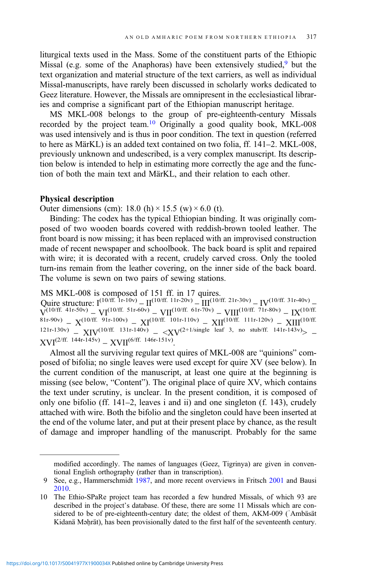liturgical texts used in the Mass. Some of the constituent parts of the Ethiopic Missal (e.g. some of the Anaphoras) have been extensively studied,9 but the text organization and material structure of the text carriers, as well as individual Missal-manuscripts, have rarely been discussed in scholarly works dedicated to Geez literature. However, the Missals are omnipresent in the ecclesiastical libraries and comprise a significant part of the Ethiopian manuscript heritage.

MS MKL-008 belongs to the group of pre-eighteenth-century Missals recorded by the project team.10 Originally a good quality book, MKL-008 was used intensively and is thus in poor condition. The text in question (referred to here as MärKL) is an added text contained on two folia, ff. 141–2. MKL-008, previously unknown and undescribed, is a very complex manuscript. Its description below is intended to help in estimating more correctly the age and the function of both the main text and MärKL, and their relation to each other.

#### Physical description

Outer dimensions (cm): 18.0 (h)  $\times$  15.5 (w)  $\times$  6.0 (t).

Binding: The codex has the typical Ethiopian binding. It was originally composed of two wooden boards covered with reddish-brown tooled leather. The front board is now missing; it has been replaced with an improvised construction made of recent newspaper and schoolbook. The back board is split and repaired with wire; it is decorated with a recent, crudely carved cross. Only the tooled turn-ins remain from the leather covering, on the inner side of the back board. The volume is sewn on two pairs of sewing stations.

MS MKL-008 is composed of 151 ff. in 17 quires.

Quire structure:  $I^{(10/ff)}$ . 1r-10v) –  $II^{(10/ff)}$ . 11r-20v) –  $III^{(10/ff)}$ . 21r-30v) –  $IV^{(10/ff)}$ . 31r-40v) –  $\mathcal{N}^{\left(10/ff. \ 41r\text{-}50v\right)} - \mathcal{N}I^{\left(10/ff. \ 51r\text{-}60v\right)} - \mathcal{N}II^{\left(10/ff. \ 61r\text{-}70v\right)} - \mathcal{N}III^{\left(10/ff. \ 71r\text{-}80v\right)} - \mathcal{N}$  $81$ r-90v) –  $X^{(10/ff. 91r-100v)} - XI^{(10/ff. 101r-110v)} - XII^{(10/ff. 111r-120v)} - XIII^{(10/ff. 111r-120v)}$ 121r-130v) – XIV(10/ff. 131r-140v) –  $\langle XY^{(2+1/single \text{ leaf } 3, \text{ no sub/ff. } 141r-143v)}$  –  $XVI^{(2/ff. 144r-145v)} - XVII^{(6/ff. 146r-151v)}$ 

Almost all the surviving regular text quires of MKL-008 are "quinions" composed of bifolia; no single leaves were used except for quire XV (see below). In the current condition of the manuscript, at least one quire at the beginning is missing (see below, "Content"). The original place of quire XV, which contains the text under scrutiny, is unclear. In the present condition, it is composed of only one bifolio (ff. 141–2, leaves i and ii) and one singleton (f. 143), crudely attached with wire. Both the bifolio and the singleton could have been inserted at the end of the volume later, and put at their present place by chance, as the result of damage and improper handling of the manuscript. Probably for the same

modified accordingly. The names of languages (Geez, Tigrinya) are given in conventional English orthography (rather than in transcription).

<sup>9</sup> See, e.g., Hammerschmidt [1987,](#page-33-0) and more recent overviews in Fritsch [2001](#page-32-0) and Bausi [2010](#page-31-0).

<sup>10</sup> The Ethio-SPaRe project team has recorded a few hundred Missals, of which 93 are described in the project's database. Of these, there are some 11 Missals which are considered to be of pre-eighteenth-century date; the oldest of them, AKM-009 (ʾAmbäsät Kidanä Mǝḥrät), has been provisionally dated to the first half of the seventeenth century.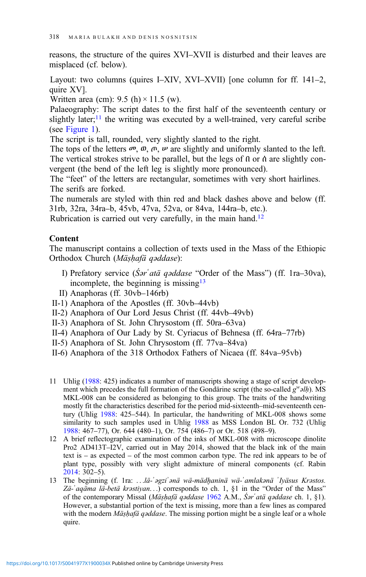reasons, the structure of the quires XVI–XVII is disturbed and their leaves are misplaced (cf. below).

Layout: two columns (quires I–XIV, XVI–XVII) [one column for ff. 141–2, quire XV].

Written area (cm):  $9.5$  (h)  $\times$  11.5 (w).

Palaeography: The script dates to the first half of the seventeenth century or slightly later; $\frac{11}{11}$  the writing was executed by a well-trained, very careful scribe (see [Figure 1](#page-4-0)).

The script is tall, rounded, very slightly slanted to the right.

The tops of the letters  $\varpi$ ,  $\varpi$ ,  $\varpi$ ,  $\psi$  are slightly and uniformly slanted to the left. The vertical strokes strive to be parallel, but the legs of በ or ሰ are slightly convergent (the bend of the left leg is slightly more pronounced).

The "feet" of the letters are rectangular, sometimes with very short hairlines. The serifs are forked.

The numerals are styled with thin red and black dashes above and below (ff. 31rb, 32ra, 34ra–b, 45vb, 47va, 52va, or 84va, 144ra–b, etc.).

Rubrication is carried out very carefully, in the main hand.<sup>12</sup>

# Content

The manuscript contains a collection of texts used in the Mass of the Ethiopic Orthodox Church (Mäṣḥafä qəddase):

- I) Prefatory service (S*ar'atä qaddase* "Order of the Mass") (ff. 1ra–30va), incomplete, the beginning is missing  $13$
- II) Anaphoras (ff. 30vb–146rb)
- II-1) Anaphora of the Apostles (ff. 30vb–44vb)
- II-2) Anaphora of Our Lord Jesus Christ (ff. 44vb–49vb)
- II-3) Anaphora of St. John Chrysostom (ff. 50ra–63va)
- II-4) Anaphora of Our Lady by St. Cyriacus of Behnesa (ff. 64ra–77rb)
- II-5) Anaphora of St. John Chrysostom (ff. 77va–84va)
- II-6) Anaphora of the 318 Orthodox Fathers of Nicaea (ff. 84va–95vb)
- 11 Uhlig [\(1988](#page-35-0): 425) indicates a number of manuscripts showing a stage of script development which precedes the full formation of the Gondärine script (the so-called  $g^{\nu\mu}$ ). MS MKL-008 can be considered as belonging to this group. The traits of the handwriting mostly fit the characteristics described for the period mid-sixteenth–mid-seventeenth century (Uhlig [1988](#page-35-0): 425–544). In particular, the handwriting of MKL-008 shows some similarity to such samples used in Uhlig [1988](#page-35-0) as MSS London BL Or. 732 (Uhlig [1988:](#page-35-0) 467–77), Or. 644 (480–1), Or. 754 (486–7) or Or. 518 (498–9).
- 12 A brief reflectographic examination of the inks of MKL-008 with microscope dinolite Pro2 AD413T–I2V, carried out in May 2014, showed that the black ink of the main text is – as expected – of the most common carbon type. The red ink appears to be of plant type, possibly with very slight admixture of mineral components (cf. Rabin [2014:](#page-34-0) 302–5).
- 13 The beginning (f. 1ra: ...lä-'əgzi'ənä wä-mädhaninä wä-'amlakənä 'Iyäsus Krəstos. Zä-ʾaqäma lä-betä krəstiyan...) corresponds to ch. 1, §1 in the "Order of the Mass" of the contemporary Missal (Mäshafä gəddase [1962](#page-34-0) A.M., Śər atä gəddase ch. 1, §1). However, a substantial portion of the text is missing, more than a few lines as compared with the modern *Mäshafä qəddase*. The missing portion might be a single leaf or a whole quire.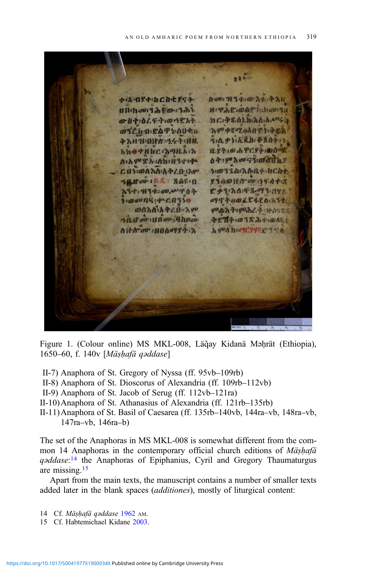<span id="page-4-0"></span>女女开示 + \* 19+ h ch+ 954 hov: H3+: 0 A+: + AH Un:hov:32 0-321 H: PAC: OAP h:hov:31 ውስተ፡ዕረፋት፡ወሳድአት  $hC: 48. hLh: \lambda h: h$ 790 0802 000 Pt-4 **@3Ch-0:EAT1:0000** 3:0.43:3.8.0: 4207: 7 3 1 1 : 0 1 7 : 24 1 : 1 1 1. አክቃተዘክር ንግዚአ፡ሽ  $0.84:$   $0.69C$   $4.00$  $0A:99A00G3:00GTLS$ n: b q x h : h h : H 3 + 1 q ነ፡ወ32ል፡እሱቢተ፡ክርስቲ ር በነ፡ወስክስ፡አቅረበ፡አም **8340HA av 19448** SANOVIER : 808-10 እንተ: ዝንቱ: መሥዋዕት 8 23:30:48.093.042 :@@09.4 60350 0997400684801234 ወሰአስ፡አቅረበ፡፡ አም ምልእት፡ምሕረት፡ነትስ፡፡28 sair ar un av ghnav ቅደሽት መ38 ሕተ-ወለደተ 0 + 1 00 : 110 009 87 : 2  $h q^p h$  h:  $q^q$ (  $q^q$ )  $q^q$   $q^q$ 

Figure 1. (Colour online) MS MKL-008, Läğay Kidanä Mahrät (Ethiopia), 1650–60, f. 140v [Mäṣḥafä qəddase]

- II-7) Anaphora of St. Gregory of Nyssa (ff. 95vb–109rb)
- II-8) Anaphora of St. Dioscorus of Alexandria (ff. 109rb–112vb)
- II-9) Anaphora of St. Jacob of Serug (ff. 112vb–121ra)
- II-10)Anaphora of St. Athanasius of Alexandria (ff. 121rb–135rb)
- II-11)Anaphora of St. Basil of Caesarea (ff. 135rb–140vb, 144ra–vb, 148ra–vb, 147ra–vb, 146ra–b)

The set of the Anaphoras in MS MKL-008 is somewhat different from the common 14 Anaphoras in the contemporary official church editions of Mäshafä qoddase:<sup>14</sup> the Anaphoras of Epiphanius, Cyril and Gregory Thaumaturgus are missing.15

Apart from the main texts, the manuscript contains a number of smaller texts added later in the blank spaces (additiones), mostly of liturgical content:

- 14 Cf. Mäṣḥafä qəddase [1962](#page-34-0) AM.
- 15 Cf. Habtemichael Kidane [2003](#page-33-0).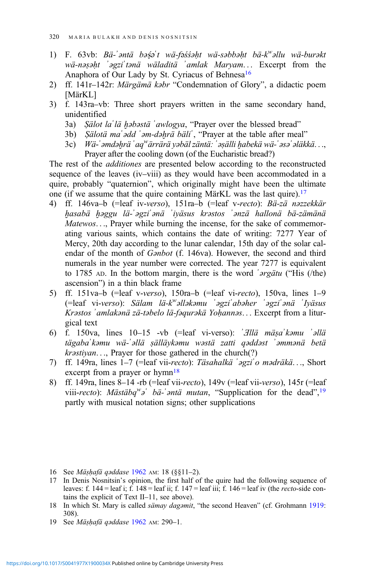- 1) F. 63vb: Bä-'əntä bəşə't wä-fəssəht wä-səbbəht bä-k<sup>w</sup>əllu wä-burəkt wä-nəṣəḥt ʾəgziʾtənä wäladitä ʾamlak Maryam... Excerpt from the Anaphora of Our Lady by St. Cyriacus of Behnesa<sup>16</sup>
- 2) ff. 141r–142r: Märgämä kəbr "Condemnation of Glory", a didactic poem [MärKL]
- 3) f. 143ra–vb: Three short prayers written in the same secondary hand, unidentified
	- 3a) Sälot la lä həbəstä 'awlogya, "Prayer over the blessed bread"
	- 3b) Sälotä ma`ədd 'əm-dəhrä bäli', "Prayer at the table after meal"
	- 3c) Vä-'əmdə $b$ rä 'aq<sup>w</sup>ärrärä yəbäl zäntä: 'əṣälli ḫabekä wä-'əsə'əläkkä..., Prayer after the cooling down (of the Eucharistic bread?)

The rest of the additiones are presented below according to the reconstructed sequence of the leaves (iv–viii) as they would have been accommodated in a quire, probably "quaternion", which originally might have been the ultimate one (if we assume that the quire containing MärKL was the last quire).<sup>17</sup>

- 4) ff. 146va–b (=leaf iv-verso), 151ra–b (=leaf v-recto): Bä-zä nəzzekkär ḫasabä ḫəggu lä-ʾəgziʾənä ʾiyäsus krəstos ʾənzä hallonä bä-zämänä Matewos..., Prayer while burning the incense, for the sake of commemorating various saints, which contains the date of writing: 7277 Year of Mercy, 20th day according to the lunar calendar, 15th day of the solar calendar of the month of Gənbot (f. 146va). However, the second and third numerals in the year number were corrected. The year 7277 is equivalent to 1785 AD. In the bottom margin, there is the word ʾərgätu ("His (/the) ascension") in a thin black frame
- 5) ff. 151va–b (=leaf v-verso), 150ra–b (=leaf vi-recto), 150va, lines 1–9 (=leaf vi-verso): Sälam lä-kw əlləkəmu ʾəgziʾabəher ʾəgziʾənä ʾIyäsus Krəstos ʾamlakənä zä-təbelo lä-fəqurəkä Yoḥannəs... Excerpt from a liturgical text
- 6) f. 150va, lines 10–15 -vb (=leaf vi-verso): ʾƎllä mäṣaʾkəmu ʾəllä tägabaʾkəmu wä-ʾəllä ṣälläykəmu wəstä zatti qəddəst ʾəmmənä betä krəstiyan..., Prayer for those gathered in the church(?)
- 7) ff. 149ra, lines 1–7 (=leaf vii-recto): Täsahalkä ʾəgziʾo mədräkä..., Short excerpt from a prayer or  $hymn<sup>18</sup>$
- 8) ff. 149ra, lines 8–14 -rb (=leaf vii-recto), 149v (=leaf vii-verso), 145r (=leaf viii-recto): Mästäbq<sup>w</sup>ə bä-'*əntä mutan*, "Supplication for the dead",<sup>19</sup> partly with musical notation signs; other supplications

- 16 See Mäṣḥafä qəddase [1962](#page-34-0) AM: 18 (§§11–2).
- 17 In Denis Nosnitsin's opinion, the first half of the quire had the following sequence of leaves: f. 144 = leaf i; f. 148 = leaf ii; f. 147 = leaf iii; f. 146 = leaf iv (the *recto-*side contains the explicit of Text II–11, see above).
- 18 In which St. Mary is called sämay dagəmit, "the second Heaven" (cf. Grohmann [1919:](#page-33-0) 308).
- 19 See Mäṣḥafä qəddase [1962](#page-34-0) AM: 290–1.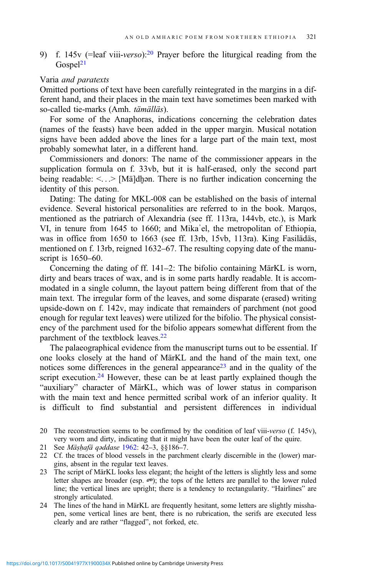9) f. 145v (=leaf viii-verso):<sup>20</sup> Prayer before the liturgical reading from the  $Gospel<sup>21</sup>$ 

# Varia and paratexts

Omitted portions of text have been carefully reintegrated in the margins in a different hand, and their places in the main text have sometimes been marked with so-called tie-marks (Amh. tämälläs).

For some of the Anaphoras, indications concerning the celebration dates (names of the feasts) have been added in the upper margin. Musical notation signs have been added above the lines for a large part of the main text, most probably somewhat later, in a different hand.

Commissioners and donors: The name of the commissioner appears in the supplication formula on f. 33vb, but it is half-erased, only the second part being readable: <...> [Mä]dḫən. There is no further indication concerning the identity of this person.

Dating: The dating for MKL-008 can be established on the basis of internal evidence. Several historical personalities are referred to in the book. Marqos, mentioned as the patriarch of Alexandria (see ff. 113ra, 144vb, etc.), is Mark VI, in tenure from 1645 to 1660; and Mikaʾel, the metropolitan of Ethiopia, was in office from 1650 to 1663 (see ff. 13rb, 15vb, 113ra). King Fasilädäs, mentioned on f. 13rb, reigned 1632–67. The resulting copying date of the manuscript is 1650–60.

Concerning the dating of ff. 141–2: The bifolio containing MärKL is worn, dirty and bears traces of wax, and is in some parts hardly readable. It is accommodated in a single column, the layout pattern being different from that of the main text. The irregular form of the leaves, and some disparate (erased) writing upside-down on f. 142v, may indicate that remainders of parchment (not good enough for regular text leaves) were utilized for the bifolio. The physical consistency of the parchment used for the bifolio appears somewhat different from the parchment of the textblock leaves.<sup>22</sup>

The palaeographical evidence from the manuscript turns out to be essential. If one looks closely at the hand of MärKL and the hand of the main text, one notices some differences in the general appearance<sup>23</sup> and in the quality of the script execution.<sup>24</sup> However, these can be at least partly explained though the "auxiliary" character of MärKL, which was of lower status in comparison with the main text and hence permitted scribal work of an inferior quality. It is difficult to find substantial and persistent differences in individual

- 21 See Mäṣḥafä qəddase [1962](#page-34-0): 42–3, §§186–7.
- 22 Cf. the traces of blood vessels in the parchment clearly discernible in the (lower) margins, absent in the regular text leaves.
- 23 The script of MärKL looks less elegant; the height of the letters is slightly less and some letter shapes are broader (esp.  $\varpi$ ); the tops of the letters are parallel to the lower ruled line; the vertical lines are upright; there is a tendency to rectangularity. "Hairlines" are strongly articulated.
- 24 The lines of the hand in MärKL are frequently hesitant, some letters are slightly misshapen, some vertical lines are bent, there is no rubrication, the serifs are executed less clearly and are rather "flagged", not forked, etc.

<sup>20</sup> The reconstruction seems to be confirmed by the condition of leaf viii-verso (f. 145v), very worn and dirty, indicating that it might have been the outer leaf of the quire.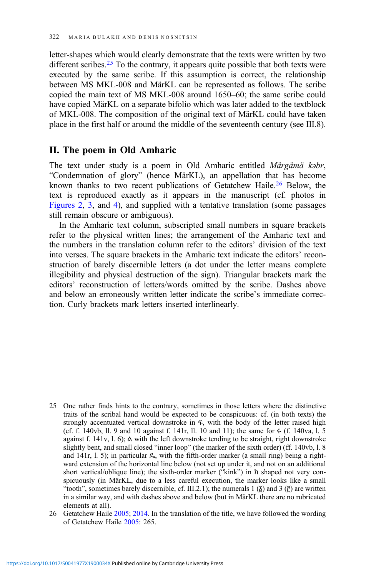letter-shapes which would clearly demonstrate that the texts were written by two different scribes.<sup>25</sup> To the contrary, it appears quite possible that both texts were executed by the same scribe. If this assumption is correct, the relationship between MS MKL-008 and MärKL can be represented as follows. The scribe copied the main text of MS MKL-008 around 1650–60; the same scribe could have copied MärKL on a separate bifolio which was later added to the textblock of MKL-008. The composition of the original text of MärKL could have taken place in the first half or around the middle of the seventeenth century (see III.8).

# II. The poem in Old Amharic

The text under study is a poem in Old Amharic entitled Märgämä kəbr, "Condemnation of glory" (hence MärKL), an appellation that has become known thanks to two recent publications of Getatchew Haile.26 Below, the text is reproduced exactly as it appears in the manuscript (cf. photos in [Figures 2,](#page-13-0) [3,](#page-14-0) and [4](#page-15-0)), and supplied with a tentative translation (some passages still remain obscure or ambiguous).

In the Amharic text column, subscripted small numbers in square brackets refer to the physical written lines; the arrangement of the Amharic text and the numbers in the translation column refer to the editors' division of the text into verses. The square brackets in the Amharic text indicate the editors' reconstruction of barely discernible letters (a dot under the letter means complete illegibility and physical destruction of the sign). Triangular brackets mark the editors' reconstruction of letters/words omitted by the scribe. Dashes above and below an erroneously written letter indicate the scribe's immediate correction. Curly brackets mark letters inserted interlinearly.

- 25 One rather finds hints to the contrary, sometimes in those letters where the distinctive traits of the scribal hand would be expected to be conspicuous: cf. (in both texts) the strongly accentuated vertical downstroke in ፍ, with the body of the letter raised high (cf. f. 140vb, ll. 9 and 10 against f. 141r, ll. 10 and 11); the same for  $\leftarrow$  (f. 140va, l. 5) against f. 141v, l. 6); ል with the left downstroke tending to be straight, right downstroke slightly bent, and small closed "inner loop" (the marker of the sixth order) (ff. 140vb, l. 8 and  $141r$ , l. 5); in particular  $\mathcal{L}_s$ , with the fifth-order marker (a small ring) being a rightward extension of the horizontal line below (not set up under it, and not on an additional short vertical/oblique line); the sixth-order marker ("kink") in ክ shaped not very conspicuously (in MärKL, due to a less careful execution, the marker looks like a small "tooth", sometimes barely discernible, cf. III.2.1); the numerals 1  $(\xi)$  and 3  $(\xi)$  are written in a similar way, and with dashes above and below (but in MärKL there are no rubricated elements at all).
- 26 Getatchew Haile [2005;](#page-32-0) [2014.](#page-32-0) In the translation of the title, we have followed the wording of Getatchew Haile [2005:](#page-32-0) 265.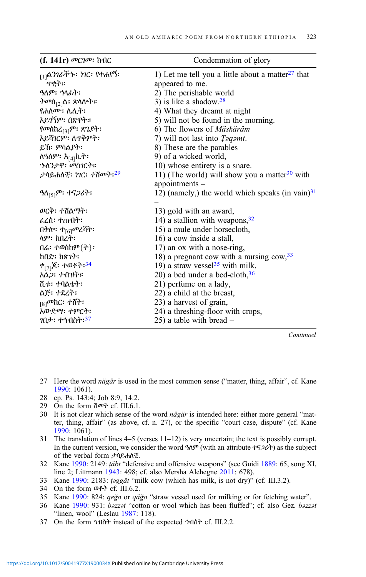| (f. 141r) መርገመ: ከብር                         | Condemnation of glory                                     |
|---------------------------------------------|-----------------------------------------------------------|
| <sub>[1]</sub> ልን <i>ገራችኍ፡ ነገ</i> ር፡ የተሐየኝ፡ | 1) Let me tell you a little about a matter $27$ that      |
| ጥቂት።                                        | appeared to me.                                           |
|                                             | 2) The perishable world                                   |
| <i>ትመ</i> ስ <sub>[2]</sub> ል፡ ጽላሎት።         | 3) is like a shadow. $28$                                 |
| የሐለሙ፡ ሌሊት፡                                  | 4) What they dreamt at night                              |
| <u>አይገኝም፡ በጽዋት።</u>                         | 5) will not be found in the morning.                      |
| የመስከረ <sub>[3]</sub> ም፡ ጽጌያት፡               | 6) The flowers of Mäskäräm                                |
| አይሻገርም፡ ለጥቅምት፡                              | 7) will not last into <i>Taqamt</i> .                     |
| ይኸ፡ ምሳልያት፡                                  | 8) These are the parables                                 |
| ለዓለም፡ እ <sub>[4]</sub> ኪት፡                  | 9) of a wicked world,                                     |
| <i>ኍ</i> ለንታዋ፡ መስገርት።                       | 10) whose entirety is a snare.                            |
| ታሳይሐለቺ፡ <i>ነገ</i> ር፡ ተሽመት፡ <sup>29</sup>    | 11) (The world) will show you a matter <sup>30</sup> with |
|                                             | appointments -                                            |
| ዓለ <sub>[5]</sub> ም፡ ተና <i>ጋ</i> ሪት፡        | 12) (namely,) the world which speaks (in vain) $31$       |
|                                             |                                                           |
| ወርቅ፡ ተሽልማት፡                                 | 13) gold with an award,                                   |
| ፌረስ፡ ተጠብት፡                                  | 14) a stallion with weapons, $32$                         |
| በቅሎ፡ ተ <sub>[6]</sub> መረሻት፡                 | 15) a mule under horsecloth,                              |
| ላም፡ ከበረት፡                                   | 16) a cow inside a stall,                                 |
| በሬ፡ ተወስከም $\{\dagger\}$ ፡                   | 17) an ox with a nose-ring,                               |
| ከበድ፡ ከጽንት፡                                  | 18) a pregnant cow with a nursing $\text{row},^{33}$      |
| ቀ <sub>[7]</sub> ጆ፡ ተወቶት: <sup>34</sup>     | 19) a straw vessel <sup>35</sup> with milk,               |
| አል <i>ጋ</i> ፡ ተብዝት።                         | 20) a bed under a bed-cloth, $36$                         |
| ሺቱ፡ ተባልቴት፡                                  | 21) perfume on a lady,                                    |
| ልጅ፡ ተደረት፡                                   | 22) a child at the breast,                                |
| <sub>[8]</sub> መከር: ተሸት፡                    | 23) a harvest of grain,                                   |
| አውድማ፡ ተምርት፡                                 | 24) a threshing-floor with crops,                         |
| <i>ገ</i> በታ፡ ተኀብስት፡ <sup>37</sup>           | $(25)$ a table with bread $-$                             |

**Continued** 

- 27 Here the word nägär is used in the most common sense ("matter, thing, affair", cf. Kane [1990](#page-33-0): 1061).
- 28 cp. Ps. 143:4; Job 8:9, 14:2.
- 29 On the form ሽመት cf. III.6.1.
- 30 It is not clear which sense of the word nägär is intended here: either more general "matter, thing, affair" (as above, cf. n. 27), or the specific "court case, dispute" (cf. Kane [1990](#page-33-0): 1061).
- 31 The translation of lines 4–5 (verses 11–12) is very uncertain; the text is possibly corrupt. In the current version, we consider the word  $9\Delta\theta^p$  (with an attribute  $\tau$ 52d $\tau$ ) as the subject of the verbal form ታሳይሐለቺ.
- 32 Kane [1990](#page-33-0): 2149: ṭäbt "defensive and offensive weapons" (see Guidi [1889](#page-33-0): 65, song XI, line 2; Littmann [1943:](#page-34-0) 498; cf. also Mersha Alehegne [2011:](#page-34-0) 678).
- 33 Kane [1990:](#page-33-0) 2183: ṭəggät "milk cow (which has milk, is not dry)" (cf. III.3.2).
- 34 On the form ወቶት cf. III.6.2.
- 35 Kane [1990:](#page-33-0) 824: qeǧo or qäǧo "straw vessel used for milking or for fetching water".
- 36 Kane [1990](#page-33-0): 931: bəzzət "cotton or wool which has been fluffed"; cf. also Gez. bəzzət "linen, wool" (Leslau [1987:](#page-33-0) 118).
- 37 On the form ኀብስት instead of the expected ኅብስት cf. III.2.2.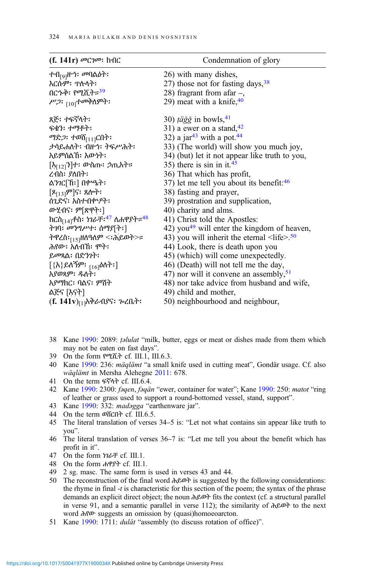| (f. 141r) መርገመ፡ ከብር                                                    | Condemnation of glory                                               |
|------------------------------------------------------------------------|---------------------------------------------------------------------|
| ተብ <sub>[9]</sub> ዙኅ፡ <i>መ</i> ባልዕት፡                                   | 26) with many dishes,                                               |
| እርሱም፡ ጥሉላት፡                                                            | 27) those not for fasting days, $38$                                |
| በር <i>ኍቅ፡ የሚ</i> ሺት። <sup>39</sup>                                     | 28) fragrant from a far $-$ ,                                       |
| <i>ሥጋ</i> ፡ <sub>[10]</sub> ተመቅለምት፡                                    | 29) meat with a knife, $40$                                         |
| ጸጅ፡ ተፍኛላት፡                                                             | 30) <i>täğğ</i> in bowls, $41$                                      |
| ፍቁን: ተማቶት:                                                             | 31) a ewer on a stand, $42$                                         |
| ማድ <i>ጋ</i> ፡ ተወሽ <sub>[11]</sub> ርበት፡                                 | 32) a jar <sup>43</sup> with a pot. <sup>44</sup>                   |
| ታሳይሐለት፡ ብዙኅ፡ ትፍሥሕት፡                                                    | 33) (The world) will show you much joy,                             |
| አይምሰልኸ፡ እውነት፡                                                          | 34) (but) let it not appear like truth to you,                      |
| [እ <sub>[12]</sub> ን]ተ፡ ውስጡ፡ <i>ኃ</i> ጢአት።                             | 35) there is sin in it. <sup>45</sup>                               |
| ረብስ፡ ያለበት፡                                                             | 36) That which has profit,                                          |
| ልንገር[ኸ፡] በቍዔት፡                                                         | 37) let me tell you about its benefit: <sup>46</sup>                |
| $[8_{[13]}$ ም]ና፡ ጸሎት፡                                                  | 38) fasting and prayer,                                             |
| ሰጊድና፡ እስተብቍዖት፡                                                         | 39) prostration and supplication,                                   |
| ውሂብና፡ ም[ጽዋት፡]                                                          | 40) charity and alms.                                               |
| ከርስ <sub>[14]</sub> ቶስ፡ <i>ነገራቸ፡<sup>47</sup> ለሐዋያት፡፡<sup>48</sup></i> | 41) Christ told the Apostles:                                       |
| ትገባ፡ መንግሥተ፡ ሰማያ[ት፡]                                                    | 42) you <sup>49</sup> will enter the kingdom of heaven,             |
| ትዋረስ፡ <sub>[15]</sub> ዘለዓለም <፡ሕይወት>።                                   | 43) you will inherit the eternal $\langle$ life $>$ . <sup>50</sup> |
| ሕየው፡ አለብሽ፡ ምት፡                                                         | 44) Look, there is death upon you                                   |
| ይመጻል፡ በድንነት፡                                                           | 45) (which) will come unexpectedly.                                 |
| [{እ}ይለኝም፡ <sub>[16]</sub> ዕለት፡]                                        | 46) (Death) will not tell me the day,                               |
| አያወጻም፡ ዱለት፡                                                            | 47) nor will it convene an assembly, $51$                           |
| አያማክር፡ ባልና፡ ምሽት                                                        | 48) nor take advice from husband and wife,                          |
| ልጅና [እናት]                                                              | 49) child and mother,                                               |
| (f. 141v) <sub>[1]</sub> አቅራብያና፡ <i>ጉ</i> ፈቤት፡                         | 50) neighbourhood and neighbour,                                    |

- 38 Kane [1990](#page-33-0): 2089: ṭəlulat "milk, butter, eggs or meat or dishes made from them which may not be eaten on fast days".
- 39 On the form የሚሺት cf. III.1, III.6.3.
- 40 Kane [1990](#page-33-0): 236: mäqlämt "a small knife used in cutting meat", Gondär usage. Cf. also wäqlämt in Mersha Alehegne [2011](#page-34-0): 678.
- 41 On the term ፍኛላት cf. III.6.4.
- 42 Kane [1990:](#page-33-0) 2300: *fəqen, fəqän* "ewer, container for water"; Kane [1990](#page-33-0): 250: *matot* "ring of leather or grass used to support a round-bottomed vessel, stand, support".
- 43 Kane [1990](#page-33-0): 332: madəgga "earthenware jar".
- 44 On the term ወሸርበት cf. III.6.5.
- 45 The literal translation of verses 34–5 is: "Let not what contains sin appear like truth to you".
- 46 The literal translation of verses 36–7 is: "Let me tell you about the benefit which has profit in it".
- 47 On the form ነገራቸ cf. III.1.
- 48 On the form ሐዋያት cf. III.1.
- 49 2 sg. masc. The same form is used in verses 43 and 44.
- 50 The reconstruction of the final word ሕይወት is suggested by the following considerations: the rhyme in final  $-t$  is characteristic for this section of the poem; the syntax of the phrase demands an explicit direct object; the noun ሕይወት fits the context (cf. a structural parallel in verse 91, and a semantic parallel in verse 112); the similarity of ሕይወት to the next word ሕየው suggests an omission by (quasi)homoeoarcton.
- 51 Kane [1990](#page-33-0): 1711: *dulät* "assembly (to discuss rotation of office)".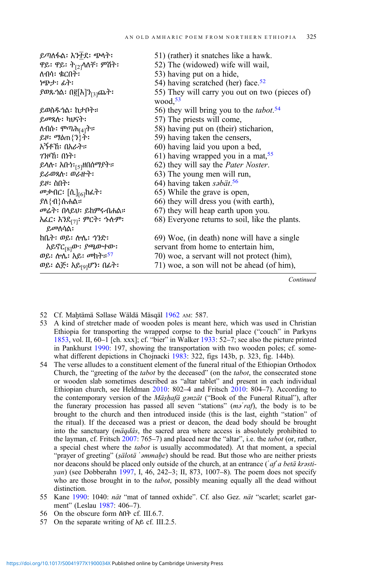| ይጣለፋል፡ እን <u>ቶ</u> ደ፡ ጭላት፡                    | 51) (rather) it snatches like a hawk.                        |
|-----------------------------------------------|--------------------------------------------------------------|
| ዋይ፡ ዋይ፡ ት <sub>[2]</sub> ላለቸ፡ ምሽት፡            | 52) The (widowed) wife will wail,                            |
| ለብሳ፡ ቁርበት፡                                    | 53) having put on a hide,                                    |
| ነጭታ፡ ፊት፡                                      | 54) having scratched (her) face. <sup>52</sup>               |
| <i>ያወዪ:</i> ሰ{[እ]ን <sub>[3]</sub> ጨት፡         | 55) They will carry you out on two (pieces of)<br>wood, $53$ |
| ይወስዱጎል፡ ከታቦት።                                 | 56) they will bring you to the <i>tabot</i> . <sup>54</sup>  |
| ይመጻሉ፡ ካህናት፡                                   | 57) The priests will come,                                   |
| ለብሱ፡ <i>ሞጣሕ<sub>[4]</sub>ት።</i>               | 58) having put on (their) sticharion,                        |
| ይዞ፡ ማዕጠ{ን}ት፡                                  | 59) having taken the censers,                                |
| አኝቶኸ፡ በአራት።                                   | 60) having laid you upon a bed,                              |
| <i>ገን</i> ዞኸ፡ በነት፡                            | 61) having wrapped you in a mat, $55$                        |
| ይላሉ፡ አቡነ፡ <sub>[5]</sub> ዘበሰማያተ።              | 62) they will say the Pater Noster.                          |
| ይራወጻሉ፡ ወራዙት፡                                  | 63) The young men will run,                                  |
| ይዞ፡ ስበት፡                                      | 64) having taken səbät. <sup>56</sup>                        |
| <i>መቃ</i> ብር፡ [ሲ] <sub>[6]</sub> ከፈት፡         | 65) While the grave is open,                                 |
| <i>ያ</i> ለ{ብ}ሱሐል።                             | 66) they will dress you (with earth),                        |
| <i>መሬት፡</i> በላይህ፡ ይከምሩብሐል።                    | 67) they will heap earth upon you.                           |
| አፌር፡ እንደ <sub>[7]</sub> ፡ ምርት፡ ኍሉም፡<br>ይመለሳል፡ | 68) Everyone returns to soil, like the plants.               |
| ከቤት፡ ወይ፡ ሎሌ፡ ኀንድ፡                             | 69) Woe, (in death) none will have a single                  |
| አይኖር <sub>[8]</sub> ው፡ <i>ያጫ</i> ውተው፡         | servant from home to entertain him,                          |
| ወይ፡ ሎሌ፡ አይ፡ መከተ። <sup>57</sup>                | 70) woe, a servant will not protect (him),                   |
| ወይ፡ ልጅ፡ አይ <sub>[9]</sub> ሆን፡ በፊት፡            | 71) woe, a son will not be ahead (of him),                   |

Continued

- 52 Cf. Maḫtämä Səllase Wäldä Mäsqäl [1962](#page-34-0) AM: 587.
- 53 A kind of stretcher made of wooden poles is meant here, which was used in Christian Ethiopia for transporting the wrapped corpse to the burial place ("couch" in Parkyns [1853](#page-34-0), vol. II, 60–1 [ch. xxx]; cf. "bier" in Walker [1933:](#page-35-0) 52–7; see also the picture printed in Pankhurst [1990](#page-34-0): 197, showing the transportation with two wooden poles; cf. some-what different depictions in Chojnacki [1983:](#page-31-0) 322, figs 143b, p. 323, fig. 144b).
- 54 The verse alludes to a constituent element of the funeral ritual of the Ethiopian Orthodox Church, the "greeting of the tabot by the deceased" (on the tabot, the consecrated stone or wooden slab sometimes described as "altar tablet" and present in each individual Ethiopian church, see Heldman [2010:](#page-33-0) 802–4 and Fritsch [2010](#page-32-0): 804–7). According to the contemporary version of the *Mäshafä gənzät* ("Book of the Funeral Ritual"), after the funerary procession has passed all seven "stations" ( $m\delta' r a f$ ), the body is to be brought to the church and then introduced inside (this is the last, eighth "station" of the ritual). If the deceased was a priest or deacon, the dead body should be brought into the sanctuary (mäqdäs, the sacred area where access is absolutely prohibited to the layman, cf. Fritsch [2007:](#page-32-0) 765–7) and placed near the "altar", i.e. the *tabot* (or, rather, a special chest where the tabot is usually accommodated). At that moment, a special "prayer of greeting" (sälotä '*əmmahe*) should be read. But those who are neither priests nor deacons should be placed only outside of the church, at an entrance ( $\partial f$  a betä krastiyan) (see Dobberahn [1997](#page-31-0), I, 46, 242–3; II, 873, 1007–8). The poem does not specify who are those brought in to the *tabot*, possibly meaning equally all the dead without distinction.
- 55 Kane [1990](#page-33-0): 1040: nät "mat of tanned oxhide". Cf. also Gez. nät "scarlet; scarlet garment" (Leslau [1987](#page-33-0): 406–7).
- 56 On the obscure form ስበት cf. III.6.7.
- 57 On the separate writing of አይ cf. III.2.5.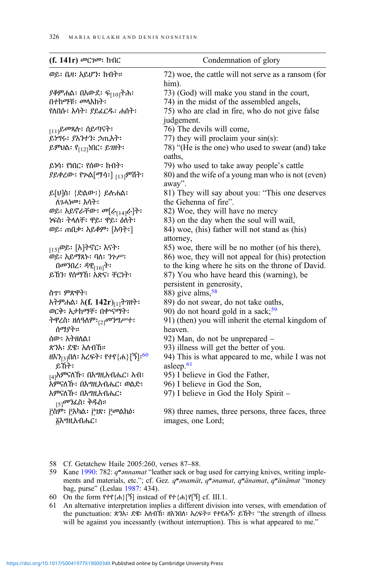| (f. 141r) መርገመ፡ ከብር                                                                                                                                                                                                                                                                                                                                                                                             | Condemnation of glory                                                                                                                                                                                                                                                                                                                                                                                                                                                                                                                                                                                                                                                                                                          |
|-----------------------------------------------------------------------------------------------------------------------------------------------------------------------------------------------------------------------------------------------------------------------------------------------------------------------------------------------------------------------------------------------------------------|--------------------------------------------------------------------------------------------------------------------------------------------------------------------------------------------------------------------------------------------------------------------------------------------------------------------------------------------------------------------------------------------------------------------------------------------------------------------------------------------------------------------------------------------------------------------------------------------------------------------------------------------------------------------------------------------------------------------------------|
| ወይ፡ ቤዛ፡ አይሆን፡ ከብት።                                                                                                                                                                                                                                                                                                                                                                                              | 72) woe, the cattle will not serve as a ransom (for<br>him).                                                                                                                                                                                                                                                                                                                                                                                                                                                                                                                                                                                                                                                                   |
| <i>ያቆምሐ</i> ል፡ በአውደ፡ ፍ <sub>[10]</sub> ትሕ፡<br>በተከማቹ: መላእክት:<br>የለበሱ፡ እሳት፡ ያይፈርዱ፡ ሐሰት፡                                                                                                                                                                                                                                                                                                                           | 73) (God) will make you stand in the court,<br>74) in the midst of the assembled angels,<br>75) who are clad in fire, who do not give false<br>judgement.                                                                                                                                                                                                                                                                                                                                                                                                                                                                                                                                                                      |
| <sub>[11]</sub> ይመጻሉ፡ ሰይጣናት፡<br>ይነግሩ፡ ያእንተን፡ ኃጢአት፡<br>ይምህል፡ የ <sub>[12]</sub> ነበር፡ ይገዘት፡                                                                                                                                                                                                                                                                                                                        | 76) The devils will come,<br>77) they will proclaim your sin(s):<br>78) "(He is the one) who used to swear (and) take                                                                                                                                                                                                                                                                                                                                                                                                                                                                                                                                                                                                          |
| ይነሳ፡ የነበር፡ የሰው፡ ከብት፡<br>ያይቀረው፡ የጕል[ማሳ፡] <sub>[13]</sub> ምሽት፡                                                                                                                                                                                                                                                                                                                                                    | oaths,<br>79) who used to take away people's cattle<br>80) and the wife of a young man who is not (even)<br>away".                                                                                                                                                                                                                                                                                                                                                                                                                                                                                                                                                                                                             |
| ይ[ሀ]ስ፡ {ድልው፡} ይሉሐል፡<br>ለገሓነመ፡ እሳት፡<br>ወይ፡ አይኖራቸው፡ መ[ራ <sub>[14]</sub> ራ]ት፡<br>ነፍስ፡ ትላለቸ፡ ዋይ፡ ዋይ፡ ዕለት፡<br>ወይ፡ ጠበቃ፡ አይቆም፡ [አባት፡]<br><sub>[15]</sub> ወይ፡ [አ]ትኖር፡ እናት፡<br>ወይ፡ አይማጸኑ፡ ባለ፡ ንጉሥ፡<br>በመንበረ፡ ዳዊ <sub>[16]</sub> ት፡<br>ይኸን፡ የሰማኸ፡ አጽና፡ ቸርነት፡<br>ስጥ፡ ምጽዋት፡<br>አትምሐል፡ አ(f. 142r) <sub>[1]</sub> ትንዘት፡<br>ወርቅ፡ አታከማቸ፡ በቍናማት፡<br>ትዋረስ፡ ዘለዓለም፡ <sub>[2]</sub> መንግሥተ፡<br>ሰማያት።<br>ሰው፡፡ አትዘለል፤<br>ጽንአ፡ ደዌ፡ አለብኸ። | 81) They will say about you: "This one deserves<br>the Gehenna of fire".<br>82) Woe, they will have no mercy<br>83) on the day when the soul will wail,<br>84) woe, (his) father will not stand as (his)<br>attorney,<br>85) woe, there will be no mother (of his there),<br>86) woe, they will not appeal for (his) protection<br>to the king where he sits on the throne of David.<br>87) You who have heard this (warning), be<br>persistent in generosity,<br>88) give alms, $58$<br>89) do not swear, do not take oaths,<br>90) do not hoard gold in a sack; <sup>59</sup><br>91) (then) you will inherit the eternal kingdom of<br>heaven.<br>92) Man, do not be unprepared –<br>93) illness will get the better of you. |
| ዘእን <sub>[3]</sub> በለ፡ እረፍት፡ የተየ{ሐ}[ኝ]፡ <sup>60</sup><br>ይኸት፡<br><sub>[4]</sub> አምናለኹ፡ በእግዚአብሔር፡ አብ፡<br>አምናለኹ፡ በእግዚአብሔር፡ ወልድ፡<br>አምናለኹ፡ በእግዚአብሔር፡<br><sub>[5]</sub> መንፈስ፡ ቅዱስ።<br>፫ስም፡ ፫አካል፡ ፫ <i>ኀ</i> ጽ፡ ፫መልክዕ፡<br>፩እግዚአብሔር፡                                                                                                                                                                                  | 94) This is what appeared to me, while I was not<br>asleep. <sup>61</sup><br>95) I believe in God the Father,<br>96) I believe in God the Son,<br>97) I believe in God the Holy Spirit -<br>98) three names, three persons, three faces, three<br>images, one Lord;                                                                                                                                                                                                                                                                                                                                                                                                                                                            |

- 58 Cf. Getatchew Haile 2005:260, verses 87–88.
- 59 Kane [1990:](#page-33-0) 782: q"annamat "leather sack or bag used for carrying knives, writing implements and materials, etc."; cf. Gez. q"anamät, q"anamat, q"änamat, q"änämat "money bag, purse" (Leslau [1987](#page-33-0): 434).
- 60 On the form  $P + P(A)$ [ኝ] instead of  $P + \{A\}P[$  $\{ \}$ ] cf. III.1.
- 61 An alternative interpretation implies a different division into verses, with emendation of the punctuation: ጽንአ፡ ደዌ፡ አለብኸ፡ ዘእንበለ፡ እረፍት። የተየሐኝ፡ ይኸት፡ "the strength of illness will be against you incessantly (without interruption). This is what appeared to me."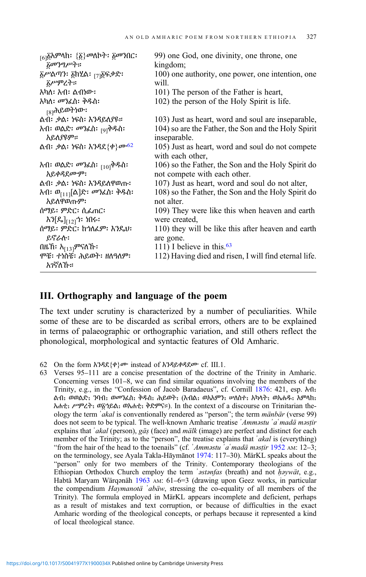| <sub>[6]</sub> ፩አምላክ፡ {፩} <i>መ</i> ለኮት፡ ፩መንበር፡<br>$\delta$ መንግሥት። | 99) one God, one divinity, one throne, one                                         |
|-------------------------------------------------------------------|------------------------------------------------------------------------------------|
| ፩ሥልጣን፡ ፩ክሂል፡ <sub>[7]</sub> ፩ፍቃድ፡<br><i>ቬሥ</i> ምረት።               | kingdom;<br>100) one authority, one power, one intention, one<br>will.             |
| አካለ፡ አብ፡ ልብነው፡                                                    | 101) The person of the Father is heart,                                            |
| አካለ፡ <i>መን</i> ፈስ፡ ቅዱስ፡<br><sub>[8]</sub> ሕይወትነው፡                 | 102) the person of the Holy Spirit is life.                                        |
| ልብ፡ ቃል፡ ነፍስ፡ እንዳይለያዩ።                                             | 103) Just as heart, word and soul are inseparable,                                 |
| <i>አብ፡ ወ</i> ልድ፡ <i>መን</i> ፈስ፡ <sub>[9]</sub> ቅዱስ፡<br>አይለያዩም።     | 104) so are the Father, the Son and the Holy Spirit<br>inseparable.                |
| ልብ፡ <i>ቃ</i> ል፡ ነፍስ፡ እንዳደ{ቀ} <i>ሙ<sup>62</sup></i>                | 105) Just as heart, word and soul do not compete<br>with each other,               |
| <i>አብ፡ ወ</i> ልድ፡ <i>መን</i> ፌስ፡ <sub>[10]</sub> ቅዱስ፡<br>አይቀዳደሙም:   | 106) so the Father, the Son and the Holy Spirit do<br>not compete with each other. |
| ልብ፡ ቃል፡ ነፍስ፡ እንዳይለዋወጡ፡                                            | 107) Just as heart, word and soul do not alter,                                    |
| አብ፡ ወ <sub>[11]</sub> [ል]ድ፡ <i>መን</i> ፈስ፡ ቅዱስ፡<br>አይለዋወጡም፡        | 108) so the Father, the Son and the Holy Spirit do<br>not alter.                   |
| ሰማይ፡ ምድር፡ ሲፈጠር፡<br>እን[ዴ] <sub>[12]</sub> ጎ፡ ነበሩ፡                  | 109) They were like this when heaven and earth<br>were created,                    |
| ሰማይ፡ ምድር፡ ከኀለፈም፡ እንዴህ፡<br>ይኖራሉ፡                                   | 110) they will be like this after heaven and earth<br>are gone.                    |
| በዜኸ፡ አ <sub>[13]</sub> ምናለኹ፡                                      | 111) I believe in this. <sup>63</sup>                                              |
| ሞቼ፡ ተነስቼ፡ ሕይወት፡ ዘለዓለም፡<br>አገኛለኹ።                                  | 112) Having died and risen, I will find eternal life.                              |

# III. Orthography and language of the poem

The text under scrutiny is characterized by a number of peculiarities. While some of these are to be discarded as scribal errors, others are to be explained in terms of palaeographic or orthographic variation, and still others reflect the phonological, morphological and syntactic features of Old Amharic.

62 On the form  $\lambda$ ንዳደ $\{\phi\}$ ሙ instead of  $\lambda$ ንዳይቀዳደሙ cf. III.1.

63 Verses 95–111 are a concise presentation of the doctrine of the Trinity in Amharic. Concerning verses 101–8, we can find similar equations involving the members of the Trinity, e.g., in the "Confession of Jacob Baradaeus", cf. Cornill [1876](#page-31-0): 421, esp. λ· θ. ልብ: ወወልድ: ንባብ: ወመንፈስ: ቅዱስ: ሕይወት: (እብል: ወአአምን: ሥለስተ: አካላት: ወአሐዱ: አምላክ: አሐቲ᎓ ሥምረት᎓ ወ፩ኀይል᎓ ወአሐቲ᎓ ቅድምና።). In the context of a discourse on Trinitarian theology the term *'akal* is conventionally rendered as "person"; the term *mänbär* (verse 99) does not seem to be typical. The well-known Amharic treatise ʾAmməstu ʾaʿmadä məsṭir explains that  $\hat{a}$ kal (person), gäs (face) and  $m\ddot{a}$  (image) are perfect and distinct for each member of the Trinity; as to the "person", the treatise explains that 'akal is (everything) "from the hair of the head to the toenails" (cf.  $'Ammsttu' a'mad\ddot{a}mst\dot{u}r$  [1952](#page-31-0) AM: 12–3; on the terminology, see Ayala Takla-Hāymānot [1974](#page-31-0): 117–30). MärKL speaks about the "person" only for two members of the Trinity. Contemporary theologians of the Ethiopian Orthodox Church employ the term 'astanfas (breath) and not haywät, e.g., Habtä Maryam Wärqənäh [1963](#page-33-0) AM: 61–6=3 (drawing upon Geez works, in particular the compendium Haymanotä 'abäw, stressing the co-equality of all members of the Trinity). The formula employed in MärKL appears incomplete and deficient, perhaps as a result of mistakes and text corruption, or because of difficulties in the exact Amharic wording of the theological concepts, or perhaps because it represented a kind of local theological stance.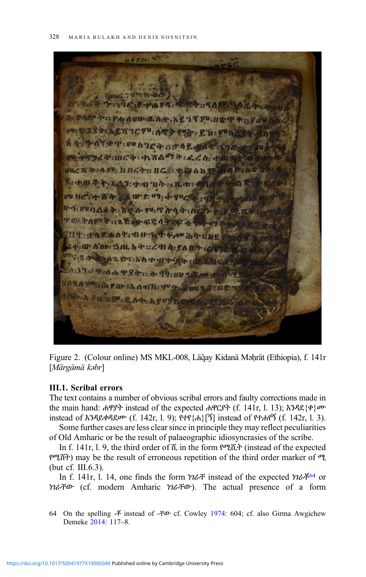<span id="page-13-0"></span>8830 : 5774  $HD: A. A. A.$ ሪካ: መረቅ: ተናሽልማ ት: ፌረስ: 1:470; hocry oc. . 200 0 0 9 TAJ: 199 11 1: 1 1: 1:  $(P^{2}, Q^{2}, 0)$  $0 + h \in \Lambda_1$  ,  $\{0, 0, 0\}$ ●手::2、緊:中午等の印 TO CAOT OH A O ABE SAL STEZE 289:80 1 119 **Fro di P Q it: : i 9 1:00 %**  $0.4071.997$ 

Figure 2. (Colour online) MS MKL-008, Läğay Kidanä Məḥrät (Ethiopia), f. 141r [Märgämä kəbr]

#### III.1. Scribal errors

The text contains a number of obvious scribal errors and faulty corrections made in the main hand: ሐዋያት instead of the expected ሐዋርያት (f. 141r, l. 13); እንዳደ{ቀ}ሙ instead of እንዳይቀዳደሙ (f. 142r, l. 9); የተየ{ሐ}[ኝ] instead of የተሐየኝ (f. 142r, l. 3).

Some further cases are less clear since in principle they may reflect peculiarities of Old Amharic or be the result of palaeographic idiosyncrasies of the scribe.

In f. 141r, l. 9, the third order of ሺ in the form የሚሺት (instead of the expected የሚሸት) may be the result of erroneous repetition of the third order marker of ሚ (but cf. III.6.3).

In f. 141r, l. 14, one finds the form  $\eta$   $\alpha$   $\ddot{\tau}$  instead of the expected  $\eta$  $\alpha$  $\ddot{\tau}$ <sup>64</sup> or ነገራቸው (cf. modern Amharic ነገራቸው). The actual presence of a form

64 On the spelling  $-\tilde{f}$  instead of  $-\tilde{f}\omega$  cf. Cowley [1974](#page-31-0): 604; cf. also Girma Awgichew Demeke [2014](#page-32-0): 117–8.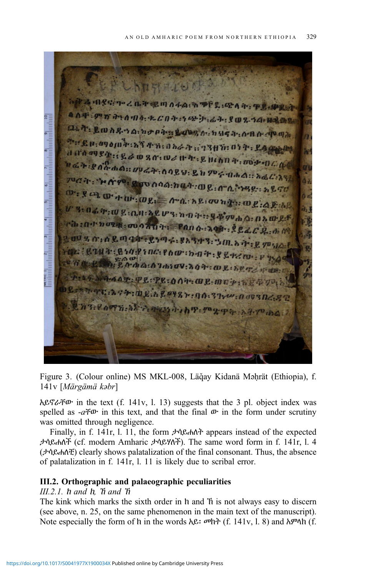<span id="page-14-0"></span>**USCALUMPS** ል ብያና ኮረቤት ደጣሰፋል ትን<sup>ተ</sup>ደ ውስት ዋይል። QAT 997 790 10. 2 COT 99 9 3 47 9 0 2 1 0 1 1 2 3 esse tartud erita dan kemudian pertama kemudian pengeranaan pengeranaan pengeranaan dan pengeranaan dan dan pe an T. Long. a no pas Long a nuga an a a go an <sup>9</sup> : C 1: 09 0 (1) <sup>3</sup> : 6 T 4 n : 0 6 & 3 : 7 3 ft n : 0 1 7 : Lag 4 0'0 09 84 :: 2 % 0 % 0 % :: 0 % 11 4 : 2 11 0 : 0 1 4 : 10 4 - 10 4 : 10 4 : 10 4 : 10 4 : 10 4 : 10 4 : 10 4 : 10 4 : 10 4 : 10 4 : 10 4 : 10 4 : 10 4 : 10 4 : 10 4 : 10 4 : 10 4 : 10 4 : 10 4 : 10 4 : 10 4 : 10 4 : 10 ዛሬት፡ደሰሱ ስል። መሬት፡ ሰባይህ፡ ይከምና በሐል። አፈር፡አላ<br><sup>ፓህር</sup>ት፡ ነ**ደለ**፡፡ በአመት ሰባይህ፡ ይከምና በሐል። አፈር፡አላ <sup>ያህረን</sup>ት: "ኮስም : ይመስሳል:ከቤት:ወይ: ስግሊ"ንዳይ: አይኖር  $0.78 \times 10^{-4} \text{m} \cdot \text{m} \cdot \text{m} \cdot \text{m} \cdot \text{m} \cdot \text{m} \cdot \text{m} \cdot \text{m} \cdot \text{m} \cdot \text{m} \cdot \text{m} \cdot \text{m} \cdot \text{m} \cdot \text{m} \cdot \text{m} \cdot \text{m} \cdot \text{m} \cdot \text{m} \cdot \text{m} \cdot \text{m} \cdot \text{m} \cdot \text{m} \cdot \text{m} \cdot \text{m} \cdot \text{m} \cdot \text{m} \cdot \text{m} \cdot \text{m} \cdot \text{m} \cdot \text{m}$ ግ በፊት : W ይ : በ.በ አይሆን : ከ ብ ት : : ያ ቅም ሐ ል : በ አ ውይና ra : not nous : months : Pano : 2011 : 224 CR. not % o: 0 & m qd = & ya < . \$ 8 3 4 3 . 3 m. b + : 2 7 3/4 : CONT: Cha: 700: 700 : 00 : 00 + : 5 & 72 m : 1 7.49 HAAT. PL:PL:001 aP.mop.newyo. LA 94: DEAL 9487: 00: 37 . 00: 00:30 6.82 Rooth. Sher ward h P. Tag The Ad To the

Figure 3. (Colour online) MS MKL-008, Läğay Kidanä Mahrät (Ethiopia), f. 141v [Märgämä kəbr]

አይኖራቸው in the text (f. 141v, l. 13) suggests that the 3 pl. object index was spelled as  $-a \ddot{\tau} \Phi$  in this text, and that the final  $\Phi$  in the form under scrutiny was omitted through negligence.

Finally, in f. 141r, l. 11, the form ታሳይሐለት appears instead of the expected ታሳይሐለች (cf. modern Amharic ታሳይሃለች). The same word form in f. 141r, l. 4 (ታሳይሐለቺ) clearly shows palatalization of the final consonant. Thus, the absence of palatalization in f. 141r, l. 11 is likely due to scribal error.

# III.2. Orthographic and palaeographic peculiarities

 $III.2.1.$  h and h.  $\hbar$  and  $\hbar$ 

The kink which marks the sixth order in ክ and ኽ is not always easy to discern (see above, n. 25, on the same phenomenon in the main text of the manuscript). Note especially the form of h in the words  $\lambda \mathcal{L}$ :  $\varpi h \uparrow$  (f. 141v, l. 8) and  $\lambda \varpi \uparrow h$  (f.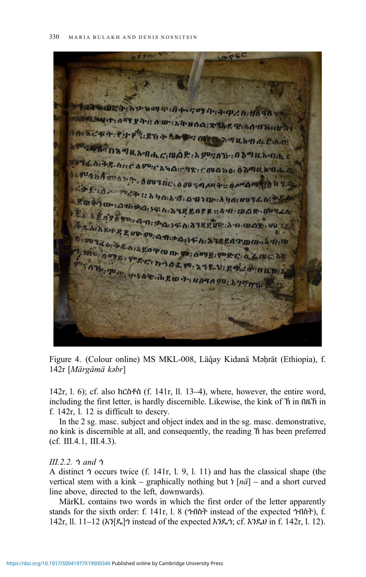<span id="page-15-0"></span> $mF$ **Ora:**hornay mahara aganaha (h. 11090 vo LANGER OF THE AUTOR WAS ARRESTED ON THE WAY SZRA PIP : 27 7 3 M **PG OF** アクルカのれどあり ። በእጣዜአብሔ*ር* መልድ እምናለች በእጣዜአብሔ የ **WEGO: DE DEE A POCK AGENT: COURNO: OZOUA DALL** O CHUQ DA WOOD DAY , O WO SHE YA MARINE O MANDE & http://www.aniche.com/2001/2001/2002/2001/2002 **CHILDE ARW 7: HOLD TO:** 

Figure 4. (Colour online) MS MKL-008, Läğay Kidanä Məhrät (Ethiopia), f. 142r [Märgämä kəbr]

142r, l. 6); cf. also ክርስቶስ (f. 141r, ll. 13–4), where, however, the entire word, including the first letter, is hardly discernible. Likewise, the kink of ኽ in በዜኽ in f. 142r, l. 12 is difficult to descry.

In the 2 sg. masc. subject and object index and in the sg. masc. demonstrative, no kink is discernible at all, and consequently, the reading ኸ has been preferred (cf. III.4.1, III.4.3).

# III.2.2. ኀ and ኅ

A distinct ኅ occurs twice (f. 141r, l. 9, l. 11) and has the classical shape (the vertical stem with a kink – graphically nothing but  $\frac{1}{n}$  [ $n\ddot{a}$ ] – and a short curved line above, directed to the left, downwards).

MärKL contains two words in which the first order of the letter apparently stands for the sixth order: f. 141r, l. 8 (ኀብስት instead of the expected ኅብስት), f. 142r, ll. 11–12 (እን[ዴ]ኀ instead of the expected እንዴኅ; cf. እንዴህ in f. 142r, l. 12).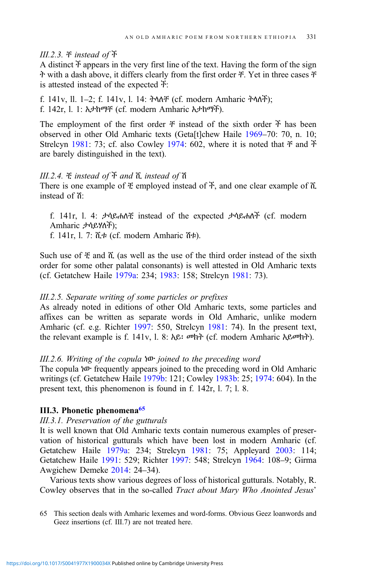# III.2.3. ቸ instead of ች

A distinct  $\ddot{x}$  appears in the very first line of the text. Having the form of the sign ት with a dash above, it differs clearly from the first order ቸ. Yet in three cases ቸ is attested instead of the expected ች:

f. 141v, ll. 1–2; f. 141v, l. 14: ትላለቸ (cf. modern Amharic ትላለች); f. 142r, l. 1: አታከማቸ (cf. modern Amharic አታከማች).

The employment of the first order  $\ddot{\tau}$  instead of the sixth order  $\ddot{\tau}$  has been observed in other Old Amharic texts (Geta[t]chew Haile [1969](#page-32-0)–70: 70, n. 10; Strelcyn [1981](#page-35-0): 73; cf. also Cowley [1974:](#page-31-0) 602, where it is noted that  $\ddot{\tau}$  and  $\ddot{\tau}$ are barely distinguished in the text).

# III.2.4. ቺ instead of ች and ሺ instead of ሽ

There is one example of ቺ employed instead of ች, and one clear example of ሺ instead of ሽ:

f. 141r, l. 4: ታሳይሐለቺ instead of the expected ታሳይሐለች (cf. modern Amharic ታሳይሃለች);

f. 141r, l. 7: ሺቱ (cf. modern Amharic ሽቱ).

Such use of  $\ddot{\tau}$  and  $\ddot{\alpha}$  (as well as the use of the third order instead of the sixth order for some other palatal consonants) is well attested in Old Amharic texts (cf. Getatchew Haile [1979a:](#page-32-0) 234; [1983](#page-32-0): 158; Strelcyn [1981](#page-35-0): 73).

# III.2.5. Separate writing of some particles or prefixes

As already noted in editions of other Old Amharic texts, some particles and affixes can be written as separate words in Old Amharic, unlike modern Amharic (cf. e.g. Richter [1997](#page-34-0): 550, Strelcyn [1981](#page-35-0): 74). In the present text, the relevant example is f. 141v, l. 8: አይ፡ መክት (cf. modern Amharic አይመክት).

# III.2.6. Writing of the copula ነው joined to the preceding word

The copula ነው frequently appears joined to the preceding word in Old Amharic writings (cf. Getatchew Haile [1979b](#page-32-0): 121; Cowley [1983b:](#page-31-0) 25; [1974:](#page-31-0) 604). In the present text, this phenomenon is found in f. 142r, l. 7; l. 8.

# III.3. Phonetic phenomena<sup>65</sup>

# III.3.1. Preservation of the gutturals

It is well known that Old Amharic texts contain numerous examples of preservation of historical gutturals which have been lost in modern Amharic (cf. Getatchew Haile [1979a](#page-32-0): 234; Strelcyn [1981](#page-35-0): 75; Appleyard [2003](#page-31-0): 114; Getatchew Haile [1991](#page-32-0): 529; Richter [1997](#page-34-0): 548; Strelcyn [1964:](#page-34-0) 108–9; Girma Awgichew Demeke [2014](#page-32-0): 24–34).

Various texts show various degrees of loss of historical gutturals. Notably, R. Cowley observes that in the so-called Tract about Mary Who Anointed Jesus'

65 This section deals with Amharic lexemes and word-forms. Obvious Geez loanwords and Geez insertions (cf. III.7) are not treated here.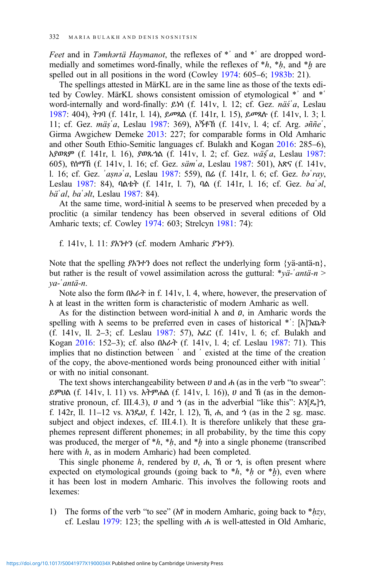Feet and in Təmhərtä Haymanot, the reflexes of \*' and \*' are dropped wordmedially and sometimes word-finally, while the reflexes of  $*h$ ,  $*h$ , and  $*h$  are spelled out in all positions in the word (Cowley [1974:](#page-31-0) 605–6; [1983b](#page-31-0): 21).

The spellings attested in MärKL are in the same line as those of the texts edited by Cowley. MärKL shows consistent omission of etymological \*ʾ and \*ʿ word-internally and word-finally: ይነሳ (f. 141v, l. 12; cf. Gez. näśʾa, Leslau [1987:](#page-33-0) 404), ትገባ (f. 141r, l. 14), ይመጻል (f. 141r, l. 15), ይመጻሉ (f. 141v, l. 3; l. 11; cf. Gez. mäs'a, Leslau [1987](#page-33-0): 369), አኝቶኸ (f. 141v, l. 4; cf. Arg.  $\partial \tilde{n} \tilde{n} e^{\tilde{n}}$ , Girma Awgichew Demeke [2013:](#page-32-0) 227; for comparable forms in Old Amharic and other South Ethio-Semitic languages cf. Bulakh and Kogan [2016](#page-31-0): 285–6), አያወጻም (f. 141r, l. 16), ያወጹኀል (f. 141v, l. 2; cf. Gez. wäś a, Leslau [1987](#page-33-0): 605), የሰማኸ (f. 141v, l. 16; cf. Gez. sämʿa, Leslau [1987:](#page-33-0) 501), አጽና (f. 141v, l. 16; cf. Gez. ʾaṣnəʿa, Leslau [1987:](#page-33-0) 559), በሬ (f. 141r, l. 6; cf. Gez. bəʿray, Leslau [1987](#page-33-0): 84), ባልቴት (f. 141r, l. 7), ባል (f. 141r, l. 16; cf. Gez. baʿəl, bäʿal, baʿəlt, Leslau [1987:](#page-33-0) 84).

At the same time, word-initial  $\lambda$  seems to be preserved when preceded by a proclitic (a similar tendency has been observed in several editions of Old Amharic texts; cf. Cowley [1974:](#page-31-0) 603; Strelcyn [1981:](#page-35-0) 74):

f. 141v, l. 11: ያአንተን (cf. modern Amharic ያንተን).

Note that the spelling ያአንተን does not reflect the underlying form {yä-antä-n}, but rather is the result of vowel assimilation across the guttural:  $*\gamma \ddot{a} - \dot{a}$  anta-n > ya-ʾantä-n.

Note also the form በአራት in f. 141v, l. 4, where, however, the preservation of አ at least in the written form is characteristic of modern Amharic as well.

As for the distinction between word-initial  $\lambda$  and  $\theta$ , in Amharic words the spelling with አ seems to be preferred even in cases of historical \*ʿ: [እ]ንጨት (f. 141v, ll. 2–3; cf. Leslau [1987](#page-33-0): 57), አፈር (f. 141v, l. 6; cf. Bulakh and Kogan [2016](#page-31-0): 152–3); cf. also በአራት (f. 141v, l. 4; cf. Leslau [1987](#page-33-0): 71). This implies that no distinction between ʿ and ʾ existed at the time of the creation of the copy, the above-mentioned words being pronounced either with initial ʾ or with no initial consonant.

The text shows interchangeability between  $\nu$  and  $\nu$  (as in the verb "to swear": ይምህል (f. 141v, l. 11) vs. አትምሐል (f. 141v, l. 16)), ሀ and ኸ (as in the demonstrative pronoun, cf. III.4.3),  $\upsilon$  and  $\upsilon$  (as in the adverbial "like this": λ $\upsilon$ [ዴ] $\upsilon$ , f. 142r, ll. 11–12 vs.  $\lambda$ ? $\ell_0$ U, f. 142r, l. 12),  $\hbar$ ,  $\hbar$ , and  $\hbar$  (as in the 2 sg. masc. subject and object indexes, cf. III.4.1). It is therefore unlikely that these graphemes represent different phonemes; in all probability, by the time this copy was produced, the merger of  $*h$ ,  $*h$ , and  $*h$  into a single phoneme (transcribed here with  $h$ , as in modern Amharic) had been completed.

This single phoneme h, rendered by  $U$ ,  $A$ ,  $\tilde{\eta}$  or  $\dot{\eta}$ , is often present where expected on etymological grounds (going back to  $*h$ ,  $*h$  or  $*h$ ), even where it has been lost in modern Amharic. This involves the following roots and lexemes:

1) The forms of the verb "to see" ( $\lambda \rho$  in modern Amharic, going back to  $*$  $hzy$ , cf. Leslau [1979:](#page-33-0) 123; the spelling with ሐ is well-attested in Old Amharic,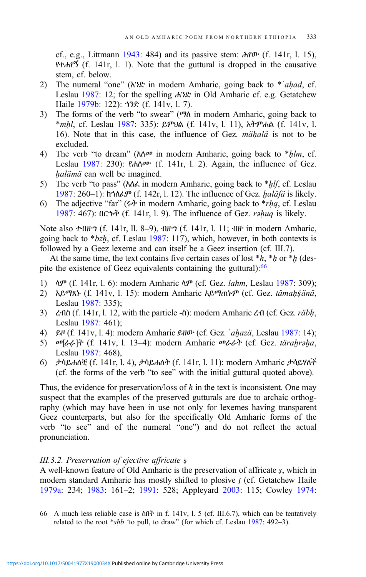cf., e.g., Littmann [1943](#page-34-0): 484) and its passive stem: ሕየው (f. 141r, l. 15), የተሐየኝ (f. 141r, l. 1). Note that the guttural is dropped in the causative stem, cf. below.

- 2) The numeral "one" ( $\lambda$ 3 $\mathcal{L}$  in modern Amharic, going back to \*'ahad, cf. Leslau [1987:](#page-33-0) 12; for the spelling ሐንድ in Old Amharic cf. e.g. Getatchew Haile [1979b](#page-32-0): 122): ኀንድ (f. 141v, l. 7).
- 3) The forms of the verb "to swear" (ማለ in modern Amharic, going back to \*mḥl, cf. Leslau [1987:](#page-33-0) 335): ይምህል (f. 141v, l. 11), አትምሐል (f. 141v, l. 16). Note that in this case, the influence of Gez. *mähalä* is not to be excluded.
- 4) The verb "to dream" ( $\hbar \Delta \varphi$  in modern Amharic, going back to \*hlm, cf. Leslau [1987:](#page-33-0) 230): የሐለሙ (f. 141r, l. 2). Again, the influence of Gez. halämä can well be imagined.
- 5) The verb "to pass" ( $\hbar \Delta \lambda$  in modern Amharic, going back to  $* h l f$ , cf. Leslau [1987](#page-33-0): 260–1): ከኀለፈም (f. 142r, l. 12). The influence of Gez. ḫaläfä is likely.
- 6) The adjective "far" ( $\dot{\phi}$  in modern Amharic, going back to  $*$ *rhq*, cf. Leslau [1987](#page-33-0): 467): በርኁቅ (f. 141r, l. 9). The influence of Gez. rəḥuq is likely.

Note also ተብዙኅ (f. 141r, ll. 8–9), ብዙኅ (f. 141r, l. 11; ብዙ in modern Amharic, going back to  $*bzh$ , cf. Leslau [1987:](#page-33-0) 117), which, however, in both contexts is followed by a Geez lexeme and can itself be a Geez insertion (cf. III.7).

At the same time, the text contains five certain cases of lost  $*h$ ,  $*h$  or  $*h$  (despite the existence of Geez equivalents containing the guttural):<sup>66</sup>

- 1) ላም (f. 141r, l. 6): modern Amharic ላም (cf. Gez. lahm, Leslau [1987:](#page-33-0) 309);
- 2) አይማጸኑ (f. 141v, l. 15): modern Amharic አይማጠኑም (cf. Gez. tämah śänä, Leslau [1987](#page-33-0): 335);
- 3)  $\zeta$ - $\Omega$ ስ (f. 141r, l. 12, with the particle -ስ): modern Amharic  $\zeta$ - $\Omega$  (cf. Gez. *räbh*, Leslau [1987](#page-33-0): 461);
- 4) ይዞ (f. 141v, l. 4): modern Amharic ይዘው (cf. Gez. ʾaḫazä, Leslau [1987:](#page-33-0) 14);
- 5) መ[ራራ]ት (f. 141v, l. 13–4): modern Amharic መራራት (cf. Gez. tärahrəha, Leslau [1987](#page-33-0): 468),
- 6) ታሳይሐለቺ (f. 141r, l. 4), ታሳይሐለት (f. 141r, l. 11): modern Amharic ታሳይሃለች (cf. the forms of the verb "to see" with the initial guttural quoted above).

Thus, the evidence for preservation/loss of  $h$  in the text is inconsistent. One may suspect that the examples of the preserved gutturals are due to archaic orthography (which may have been in use not only for lexemes having transparent Geez counterparts, but also for the specifically Old Amharic forms of the verb "to see" and of the numeral "one") and do not reflect the actual pronunciation.

### III.3.2. Preservation of ejective affricate ṣ

A well-known feature of Old Amharic is the preservation of affricate ṣ, which in modern standard Amharic has mostly shifted to plosive  $t$  (cf. Getatchew Haile [1979a:](#page-32-0) 234; [1983](#page-32-0): 161–2; [1991](#page-32-0): 528; Appleyard [2003](#page-31-0): 115; Cowley [1974:](#page-31-0)

66 A much less reliable case is ስበት in f. 141v, l. 5 (cf. III.6.7), which can be tentatively related to the root  $*shb$  'to pull, to draw" (for which cf. Leslau [1987:](#page-33-0) 492–3).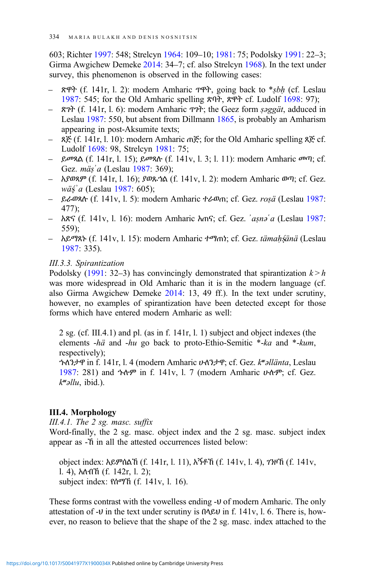603; Richter [1997](#page-34-0): 548; Strelcyn [1964:](#page-34-0) 109–10; [1981:](#page-35-0) 75; Podolsky [1991:](#page-34-0) 22–3; Girma Awgichew Demeke [2014](#page-32-0): 34–7; cf. also Strelcyn [1968\)](#page-34-0). In the text under survey, this phenomenon is observed in the following cases:

- ጽዋት (f. 141r, l. 2): modern Amharic ጥዋት, going back to \*ṣbḥ (cf. Leslau [1987](#page-33-0): 545; for the Old Amharic spelling ጽባት, ጽዋት cf. Ludolf [1698](#page-34-0): 97);
- ጽገት (f. 141r, l. 6): modern Amharic ጥገት; the Geez form ṣəggät, adduced in Leslau [1987:](#page-33-0) 550, but absent from Dillmann [1865](#page-31-0), is probably an Amharism appearing in post-Aksumite texts;
- ጸጅ (f. 141r, l. 10): modern Amharic ጠጅ; for the Old Amharic spelling ጸጅ cf. Ludolf [1698:](#page-34-0) 98, Strelcyn [1981:](#page-35-0) 75;
- ይመጻል (f. 141r, l. 15); ይመጻሉ (f. 141v, l. 3; l. 11): modern Amharic መጣ; cf. Gez. mäṣ'a (Leslau [1987](#page-33-0): 369);
- አያወጻም (f. 141r, l. 16); ያወጹኀል (f. 141v, l. 2): modern Amharic ወጣ; cf. Gez.  $w\ddot{a}\acute{s}a$  (Leslau [1987:](#page-33-0) 605);
- ይራወጻሉ (f. 141v, l. 5): modern Amharic ተራወጠ; cf. Gez. roṣä (Leslau [1987](#page-33-0): 477);
- አጽና (f. 141v, l. 16): modern Amharic አጠና; cf. Gez. ʾaṣnəʿa (Leslau [1987](#page-33-0): 559);
- አይማጸኑ (f. 141v, l. 15): modern Amharic ተማጠነ; cf. Gez. tämaḥṣänä (Leslau [1987](#page-33-0): 335).

# III.3.3. Spirantization

Podolsky [\(1991](#page-34-0): 32–3) has convincingly demonstrated that spirantization  $k > h$ was more widespread in Old Amharic than it is in the modern language (cf. also Girma Awgichew Demeke [2014:](#page-32-0) 13, 49 ff.). In the text under scrutiny, however, no examples of spirantization have been detected except for those forms which have entered modern Amharic as well:

2 sg. (cf. III.4.1) and pl. (as in f. 141r, l. 1) subject and object indexes (the elements -hä and -hu go back to proto-Ethio-Semitic \*-ka and \*-kum, respectively); ኁለንታዋ in f. 141r, l. 4 (modern Amharic ሁለንታዋ; cf. Gez. kʷəllänta, Leslau [1987](#page-33-0): 281) and ኁሉም in f. 141v, l. 7 (modern Amharic ሁሉም; cf. Gez.

 $k^{\omega}$ əllu, ibid.).

# III.4. Morphology

III.4.1. The  $2$  sg. masc. suffix

Word-finally, the 2 sg. masc. object index and the 2 sg. masc. subject index appear as -ኸ in all the attested occurrences listed below:

object index: አይምሰልኸ (f. 141r, l. 11), አኝቶኸ (f. 141v, l. 4), ገንዞኸ (f. 141v, l. 4), አለብኸ (f. 142r, l. 2); subject index: የሰማኸ (f. 141v, l. 16).

These forms contrast with the vowelless ending -ህ of modern Amharic. The only attestation of -ህ in the text under scrutiny is በላይህ in f. 141v, l. 6. There is, however, no reason to believe that the shape of the 2 sg. masc. index attached to the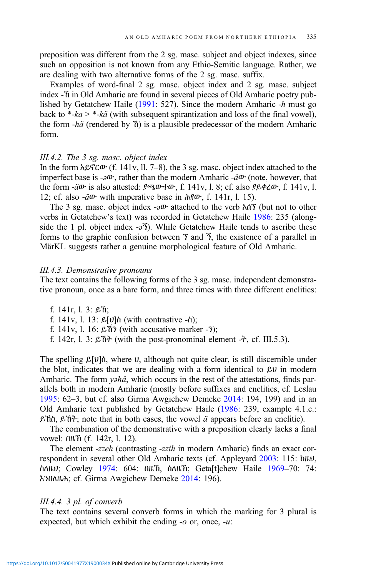preposition was different from the 2 sg. masc. subject and object indexes, since such an opposition is not known from any Ethio-Semitic language. Rather, we are dealing with two alternative forms of the 2 sg. masc. suffix.

Examples of word-final 2 sg. masc. object index and 2 sg. masc. subject index -ኸ in Old Amharic are found in several pieces of Old Amharic poetry published by Getatchew Haile ([1991:](#page-32-0) 527). Since the modern Amharic -h must go back to  $*$ -ka  $> *$ -kä (with subsequent spirantization and loss of the final vowel), the form -hä (rendered by ኸ) is a plausible predecessor of the modern Amharic form.

#### III.4.2. The 3 sg. masc. object index

In the form አይኖርው (f. 141v, ll. 7–8), the 3 sg. masc. object index attached to the imperfect base is  $-\partial \Phi$ , rather than the modern Amharic  $-\ddot{a}\Phi$  (note, however, that the form  $-\ddot{a}$  is also attested:  $\beta \omega + \omega$ , f. 141v, l. 8; cf. also  $\beta \beta + \omega$ , f. 141v, l. 12; cf. also -äው with imperative base in ሕየው, f. 141r, l. 15).

The 3 sg. masc. object index  $-\partial v$  attached to the verb  $\lambda$ ሰኘ (but not to other verbs in Getatchew's text) was recorded in Getatchew Haile [1986](#page-32-0): 235 (alongside the 1 pl. object index  $-2\tilde{3}$ ). While Getatchew Haile tends to ascribe these forms to the graphic confusion between  $\tilde{\tau}$  and  $\tilde{\gamma}$ , the existence of a parallel in MärKL suggests rather a genuine morphological feature of Old Amharic.

#### III.4.3. Demonstrative pronouns

The text contains the following forms of the 3 sg. masc. independent demonstrative pronoun, once as a bare form, and three times with three different enclitics:

- f. 141r, l. 3: ይኸ;
- f. 141v, l. 13:  $\mathcal{L}[\mathcal{V}]$ ስ (with contrastive -ስ);
- f. 141v, l. 16: ይኸን (with accusative marker  $-3$ );
- f. 142r, l. 3:  $\mathcal{E} \hat{n}$  (with the post-pronominal element - $\hat{\tau}$ , cf. III.5.3).

The spelling  $\mathcal{L}[v]\hat{\theta}$ , where  $v$ , although not quite clear, is still discernible under the blot, indicates that we are dealing with a form identical to ይህ in modern Amharic. The form *yahä*, which occurs in the rest of the attestations, finds parallels both in modern Amharic (mostly before suffixes and enclitics, cf. Leslau [1995](#page-34-0): 62–3, but cf. also Girma Awgichew Demeke [2014](#page-32-0): 194, 199) and in an Old Amharic text published by Getatchew Haile ([1986:](#page-32-0) 239, example 4.1.c.: ይኸስ, ይኸት; note that in both cases, the vowel ä appears before an enclitic).

The combination of the demonstrative with a preposition clearly lacks a final vowel: በዜኽ (f. 142r, l. 12).

The element -zzeh (contrasting -zzih in modern Amharic) finds an exact correspondent in several other Old Amharic texts (cf. Appleyard [2003](#page-31-0): 115: ከዜህ, ስለዜህ; Cowley [1974:](#page-31-0) 604: በዜኽ, ስለዜኽ; Geta[t]chew Haile [1969](#page-32-0)–70: 74: እንበለዜሕ; cf. Girma Awgichew Demeke [2014:](#page-32-0) 196).

#### III.4.4. 3 pl. of converb

The text contains several converb forms in which the marking for 3 plural is expected, but which exhibit the ending  $-o$  or, once,  $-u$ .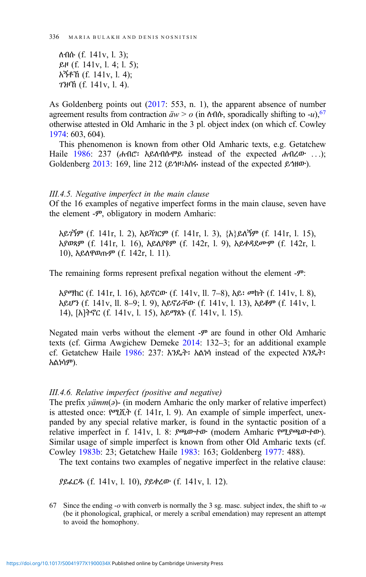ለብሱ (f. 141v, l. 3); ይዞ (f. 141v, l. 4; l. 5); አኝቶኸ (f. 141v, l. 4); ገንዞኸ (f. 141v, l. 4).

As Goldenberg points out ([2017:](#page-33-0) 553, n. 1), the apparent absence of number agreement results from contraction  $\ddot{a}w > 0$  (in  $\Lambda \Omega$ ), sporadically shifting to -u), <sup>67</sup> otherwise attested in Old Amharic in the 3 pl. object index (on which cf. Cowley [1974](#page-31-0): 603, 604).

This phenomenon is known from other Old Amharic texts, e.g. Getatchew Haile [1986](#page-32-0): 237 (ሐብሮ፡ አይለብሱሞይ instead of the expected ሐብረው ...); Goldenberg [2013](#page-33-0): 169, line 212 (ይኅዞ፡አሰሩ instead of the expected ይኅዘው).

#### III.4.5. Negative imperfect in the main clause

Of the 16 examples of negative imperfect forms in the main clause, seven have the element -ም, obligatory in modern Amharic:

አይገኝም (f. 141r, l. 2), አይሻገርም (f. 141r, l. 3), {ܼአ}ይለኝም (f. 141r, l. 15), አያወጻም (f. 141r, l. 16), አይለያዩም (f. 142r, l. 9), አይቀዳደሙም (f. 142r, l. 10), አይለዋወጡም (f. 142r, l. 11).

The remaining forms represent prefixal negation without the element -ም:

አያማክር (f. 141r, l. 16), አይኖርው (f. 141v, ll. 7–8), አይ፡ መከት (f. 141v, l. 8), አይሆን (f. 141v, ll. 8–9; l. 9), አይኖራቸው (f. 141v, l. 13), አይቆም (f. 141v, l. 14), [አ]ትኖር (f. 141v, l. 15), አይማጸኑ (f. 141v, l. 15).

Negated main verbs without the element -ም are found in other Old Amharic texts (cf. Girma Awgichew Demeke [2014:](#page-32-0) 132–3; for an additional example cf. Getatchew Haile [1986:](#page-32-0) 237: እንዴት፡ አልነሳ instead of the expected እንዴት፡ አልነሳም).

### III.4.6. Relative imperfect (positive and negative)

The prefix  $\gamma \ddot{a}$  / (in modern Amharic the only marker of relative imperfect) is attested once: የሚሺት (f. 141r, l. 9). An example of simple imperfect, unexpanded by any special relative marker, is found in the syntactic position of a relative imperfect in f. 141v, l. 8: ያጫውተው (modern Amharic የሚያጫውተው). Similar usage of simple imperfect is known from other Old Amharic texts (cf. Cowley [1983b](#page-31-0): 23; Getatchew Haile [1983:](#page-32-0) 163; Goldenberg [1977:](#page-33-0) 488).

The text contains two examples of negative imperfect in the relative clause:

ያይፈርዱ (f. 141v, l. 10), ያይቀረው (f. 141v, l. 12).

67 Since the ending -*o* with converb is normally the 3 sg. masc. subject index, the shift to -*u* (be it phonological, graphical, or merely a scribal emendation) may represent an attempt to avoid the homophony.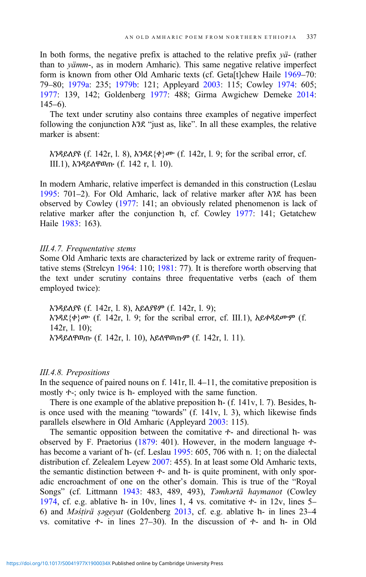In both forms, the negative prefix is attached to the relative prefix  $y\ddot{a}$ - (rather than to yämm-, as in modern Amharic). This same negative relative imperfect form is known from other Old Amharic texts (cf. Geta[t]chew Haile [1969](#page-32-0)-70: 79–80; [1979a:](#page-32-0) 235; [1979b](#page-32-0): 121; Appleyard [2003:](#page-31-0) 115; Cowley [1974](#page-31-0): 605; [1977](#page-31-0): 139, 142; Goldenberg [1977](#page-33-0): 488; Girma Awgichew Demeke [2014:](#page-32-0)  $145-6$ ).

The text under scrutiny also contains three examples of negative imperfect following the conjunction እንደ "just as, like". In all these examples, the relative marker is absent:

እንዳይለያዩ (f. 142r, l. 8), እንዳደ{ቀ}ሙ (f. 142r, l. 9; for the scribal error, cf. III.1), እንዳይለዋወጡ (f. 142 r, l. 10).

In modern Amharic, relative imperfect is demanded in this construction (Leslau [1995](#page-34-0): 701–2). For Old Amharic, lack of relative marker after እንደ has been observed by Cowley [\(1977](#page-31-0): 141; an obviously related phenomenon is lack of relative marker after the conjunction ከ, cf. Cowley [1977:](#page-31-0) 141; Getatchew Haile [1983](#page-32-0): 163).

#### III.4.7. Frequentative stems

Some Old Amharic texts are characterized by lack or extreme rarity of frequentative stems (Strelcyn [1964](#page-34-0): 110; [1981](#page-35-0): 77). It is therefore worth observing that the text under scrutiny contains three frequentative verbs (each of them employed twice):

እንዳይለያዩ (f. 142r, l. 8), አይለያዩም (f. 142r, l. 9); እንዳደ{ቀ}ሙ (f. 142r, l. 9; for the scribal error, cf. III.1), አይቀዳደሙም (f. 142r, l. 10); እንዳይለዋወጡ (f. 142r, l. 10), አይለዋወጡም (f. 142r, l. 11).

#### III.4.8. Prepositions

In the sequence of paired nouns on f. 141r, ll. 4–11, the comitative preposition is mostly  $+$ ; only twice is h- employed with the same function.

There is one example of the ablative preposition ከ- (f. 141v, l. 7). Besides, ከis once used with the meaning "towards" (f. 141v, l. 3), which likewise finds parallels elsewhere in Old Amharic (Appleyard [2003](#page-31-0): 115).

The semantic opposition between the comitative ተ- and directional ከ- was observed by F. Praetorius ([1879:](#page-34-0) 401). However, in the modern language ተ-has become a variant of h- (cf. Leslau [1995:](#page-34-0) 605, 706 with n. 1; on the dialectal distribution cf. Zelealem Leyew [2007](#page-35-0): 455). In at least some Old Amharic texts, the semantic distinction between ተ- and ከ- is quite prominent, with only sporadic encroachment of one on the other's domain. This is true of the "Royal Songs" (cf. Littmann [1943](#page-34-0): 483, 489, 493), Təmhərtä haymanot (Cowley [1974](#page-31-0), cf. e.g. ablative  $h$ - in 10v, lines 1, 4 vs. comitative  $t$ - in 12v, lines 5– 6) and Məśṭirä ṣəgeyat (Goldenberg [2013,](#page-33-0) cf. e.g. ablative ከ- in lines 23–4 vs. comitative ተ- in lines 27–30). In the discussion of ተ- and ከ- in Old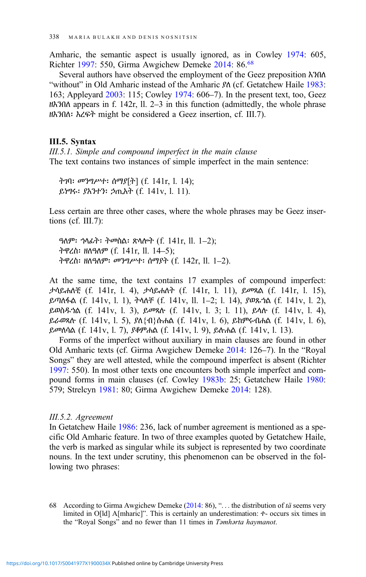Amharic, the semantic aspect is usually ignored, as in Cowley [1974:](#page-31-0) 605, Richter [1997](#page-34-0): 550, Girma Awgichew Demeke [2014:](#page-32-0) 86.68

Several authors have observed the employment of the Geez preposition እንበለ "without" in Old Amharic instead of the Amharic ያለ (cf. Getatchew Haile [1983](#page-32-0): 163; Appleyard [2003:](#page-31-0) 115; Cowley [1974:](#page-31-0) 606–7). In the present text, too, Geez ዘእንበለ appears in f. 142r, ll. 2–3 in this function (admittedly, the whole phrase ዘእንበለ፡ እረፍት might be considered a Geez insertion, cf. III.7).

## III.5. Syntax

III.5.1. Simple and compound imperfect in the main clause The text contains two instances of simple imperfect in the main sentence:

ትገባ፡ መንግሥተ፡ ሰማያ[ܼት] (f. 141r, l. 14); ይነግሩ፡ ያአንተን፡ ኃጢአት (f. 141v, l. 11).

Less certain are three other cases, where the whole phrases may be Geez insertions (cf. III.7):

ዓለም፡ ኀላፊት፡ ትመስል፡ ጽላሎት (f. 141r, ll. 1–2); ትዋረስ፡ ዘለዓለም (f. 141r, ll. 14–5); ትዋረስ፡ ዘለዓለም፡ መንግሥተ፡ ሰማያት (f. 142r, ll. 1–2).

At the same time, the text contains 17 examples of compound imperfect: ታሳይሐለቺ (f. 141r, l. 4), ታሳይሐለት (f. 141r, l. 11), ይመጻል (f. 141r, l. 15), ይጣለፋል (f. 141v, l. 1), ትላለቸ (f. 141v, ll. 1–2; l. 14), ያወጹኀል (f. 141v, l. 2), ይወስዱኀል (f. 141v, l. 3), ይመጻሉ (f. 141v, l. 3; l. 11), ይላሉ (f. 141v, l. 4), ይራወጻሉ (f. 141v, l. 5), ያለ{ብ}ሱሐል (f. 141v, l. 6), ይከምሩብሐል (f. 141v, l. 6), ይመለሳል (f. 141v, l. 7), ያቆምሐል (f. 141v, l. 9), ይሉሐል (f. 141v, l. 13).

Forms of the imperfect without auxiliary in main clauses are found in other Old Amharic texts (cf. Girma Awgichew Demeke [2014:](#page-32-0) 126–7). In the "Royal Songs" they are well attested, while the compound imperfect is absent (Richter [1997:](#page-34-0) 550). In most other texts one encounters both simple imperfect and compound forms in main clauses (cf. Cowley [1983b:](#page-31-0) 25; Getatchew Haile [1980](#page-32-0): 579; Strelcyn [1981](#page-35-0): 80; Girma Awgichew Demeke [2014:](#page-32-0) 128).

#### III.5.2. Agreement

In Getatchew Haile [1986:](#page-32-0) 236, lack of number agreement is mentioned as a specific Old Amharic feature. In two of three examples quoted by Getatchew Haile, the verb is marked as singular while its subject is represented by two coordinate nouns. In the text under scrutiny, this phenomenon can be observed in the following two phrases:

68 According to Girma Awgichew Demeke [\(2014](#page-32-0): 86), " $\ldots$  the distribution of tä seems very limited in O[ld] A[mharic]". This is certainly an underestimation: ተ- occurs six times in the "Royal Songs" and no fewer than 11 times in Təmhərta haymanot.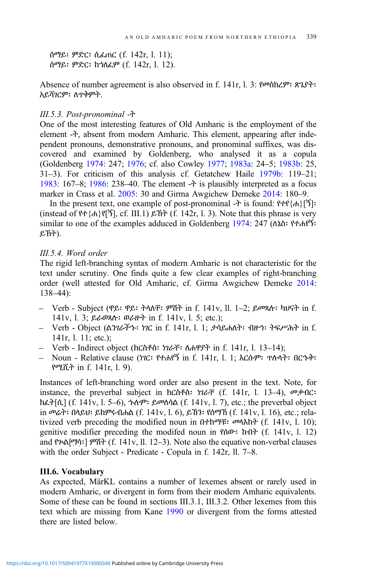ሰማይ፡ ምድር፡ ሲፈጠር (f. 142r, l. 11); ሰማይ፡ ምድር፡ ከኀለፈም (f. 142r, l. 12).

Absence of number agreement is also observed in f. 141r, l. 3: የመስከረም፡ ጽጌያት፡ አይሻገርም፡ ለጥቅምት.

#### III.5.3. Post-pronominal -ት

One of the most interesting features of Old Amharic is the employment of the element -ት, absent from modern Amharic. This element, appearing after independent pronouns, demonstrative pronouns, and pronominal suffixes, was discovered and examined by Goldenberg, who analysed it as a copula (Goldenberg [1974:](#page-33-0) 247; [1976](#page-33-0); cf. also Cowley [1977;](#page-31-0) [1983a](#page-31-0): 24–5; [1983b](#page-31-0): 25, 31–3). For criticism of this analysis cf. Getatchew Haile [1979b:](#page-32-0) 119–21; [1983:](#page-32-0) 167–8; [1986:](#page-32-0) 238–40. The element -ት is plausibly interpreted as a focus marker in Crass et al. [2005:](#page-31-0) 30 and Girma Awgichew Demeke [2014:](#page-32-0) 180–9.

In the present text, one example of post-pronominal -ት is found: የተየ{ሐ}[ኝ]፡ (instead of  $P + \{h\}P[\tilde{B}]$ , cf. III.1)  $\mathcal{L}\tilde{B}$  (f. 142r, l. 3). Note that this phrase is very similar to one of the examples adduced in Goldenberg [1974:](#page-33-0) 247 (ለኔስ፡ የተሐየኝ፡ ይኽት).

# III.5.4. Word order

The rigid left-branching syntax of modern Amharic is not characteristic for the text under scrutiny. One finds quite a few clear examples of right-branching order (well attested for Old Amharic, cf. Girma Awgichew Demeke [2014:](#page-32-0) 138–44):

- Verb Subject (ዋይ፡ ዋይ፡ ትላለቸ፡ ምሽት in f. 141v, ll. 1–2; ይመጻሉ፡ ካህናት in f. 141v, l. 3; ይራወጻሉ፡ ወራዙት in f. 141v, l. 5; etc.);
- Verb Object (ልንገራችኁ፡ ነገር in f. 141r, l. 1; ታሳይሐለት፡ ብዙኅ፡ ትፍሥሕት in f. 141r, l. 11; etc.);
- Verb Indirect object (ክርስቶስ፡ ነገራቸ፡ ለሐዋያት in f. 141r, l. 13–14);
- Noun Relative clause (ነገር፡ የተሐየኝ in f. 141r, l. 1; እርሱም፡ ጥሉላት፡ በርኁቅ፡ የሚሺት in f. 141r, l. 9).

Instances of left-branching word order are also present in the text. Note, for instance, the preverbal subject in ክርስቶስ፡ ነገራቸ (f. 141r, l. 13–4), መቃብር፡ ከፈት[ሲ] (f. 141v, l. 5–6), ኁሉም፡ ይመለሳል (f. 141v, l. 7), etc.; the preverbal object in መሬት፡ በላይህ፡ ይከምሩብሐል (f. 141v, l. 6), ይኸን፡ የሰማኸ (f. 141v, l. 16), etc.; relativized verb preceding the modified noun in በተከማቹ፡ መላእክት (f. 141v, l. 10); genitive modifier preceding the modifed noun in  $\rho_0$  that (f. 141v, l. 12) and የጕል[ማሳ፡] ምሽት (f. 141v, ll. 12–3). Note also the equative non-verbal clauses with the order Subject - Predicate - Copula in f. 142r, ll. 7–8.

### III.6. Vocabulary

As expected, MärKL contains a number of lexemes absent or rarely used in modern Amharic, or divergent in form from their modern Amharic equivalents. Some of these can be found in sections III.3.1, III.3.2. Other lexemes from this text which are missing from Kane [1990](#page-33-0) or divergent from the forms attested there are listed below.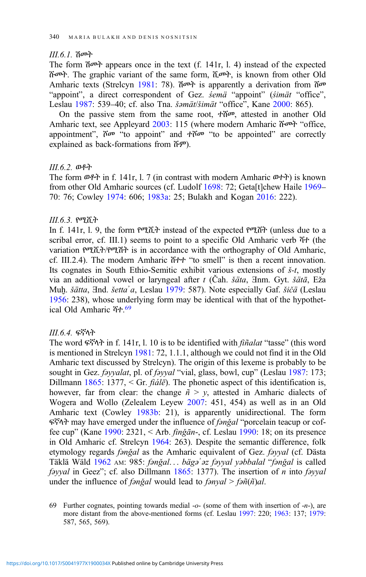# III.6.1. ሽመት

The form  $\mathfrak{d}^{\rho}$  appears once in the text (f. 141r, l. 4) instead of the expected ሹመት. The graphic variant of the same form, ሺመት, is known from other Old Amharic texts (Strelcyn [1981](#page-35-0): 78). ሽመት is apparently a derivation from ሸመ "appoint", a direct correspondent of Gez. *semä* "appoint" (*simät* "office", Leslau [1987:](#page-33-0) 539–40; cf. also Tna. šəmät/šimät "office", Kane [2000:](#page-33-0) 865).

On the passive stem from the same root, ተሸመ, attested in another Old Amharic text, see Appleyard [2003](#page-31-0): 115 (where modern Amharic ሹመት "office, appointment",  $\tilde{r}$   $\sigma$  "to appoint" and  $\tilde{r}$  to be appointed" are correctly explained as back-formations from ሹም).

#### III.6.2. ወቶት

The form ወቶት in f. 141r, l. 7 (in contrast with modern Amharic ወተት) is known from other Old Amharic sources (cf. Ludolf [1698:](#page-34-0) 72; Geta[t]chew Haile [1969](#page-32-0)– 70: 76; Cowley [1974:](#page-31-0) 606; [1983a:](#page-31-0) 25; Bulakh and Kogan [2016](#page-31-0): 222).

#### III.6.3. የሚሺት

In f. 141r, l. 9, the form የሚሺት instead of the expected የሚሸት (unless due to a scribal error, cf. III.1) seems to point to a specific Old Amharic verb ሻተ (the variation የሚሺት/የሚሽት is in accordance with the orthography of Old Amharic, cf. III.2.4). The modern Amharic ሸተተ "to smell" is then a recent innovation. Its cognates in South Ethio-Semitic exhibit various extensions of  $\zeta$ -t, mostly via an additional vowel or laryngeal after  $t$  (Čah. šäta,  $\exists$ nm. Gyt. šätā, Eža Muḥ. šätta, ∃nd. šetta<sup>'</sup>a, Leslau [1979](#page-33-0): 587). Note especially Gaf. šičä (Leslau [1956:](#page-33-0) 238), whose underlying form may be identical with that of the hypothetical Old Amharic ሻተ. 69

#### III.6.4. ፍኛላት

The word ፍኛላት in f. 141r, l. 10 is to be identified with fiñalat "tasse" (this word is mentioned in Strelcyn [1981:](#page-35-0) 72, 1.1.1, although we could not find it in the Old Amharic text discussed by Strelcyn). The origin of this lexeme is probably to be sought in Gez. *fayyalat*, pl. of *fayyal* "vial, glass, bowl, cup" (Leslau [1987:](#page-33-0) 173; Dillmann [1865:](#page-31-0) 1377, < Gr.  $\hat{f}$ *idle*). The phonetic aspect of this identification is, however, far from clear: the change  $\tilde{n} > y$ , attested in Amharic dialects of Wogera and Wollo (Zelealem Leyew [2007](#page-35-0): 451, 454) as well as in an Old Amharic text (Cowley [1983b](#page-31-0): 21), is apparently unidirectional. The form ፍኛላት may have emerged under the influence of fənǧal "porcelain teacup or coffee cup" (Kane [1990:](#page-33-0) 2321, < Arb. finǧān-, cf. Leslau [1990:](#page-34-0) 18; on its presence in Old Amharic cf. Strelcyn [1964](#page-34-0): 263). Despite the semantic difference, folk etymology regards *fənğal* as the Amharic equivalent of Gez. *fəyyal* (cf. Dästa Täklä Wäld [1962](#page-31-0) AM: 985: fənğal... bägə' əz fəyyal yəbbalal "fənğal is called fəyyal in Geez"; cf. also Dillmann  $1865$ : 1377). The insertion of *n* into fəyyal under the influence of *fanğal* would lead to *fanyal* > *fañ*( $ñ$ )*al*.

69 Further cognates, pointing towards medial  $-\sigma$  (some of them with insertion of  $-\pi$ ), are more distant from the above-mentioned forms (cf. Leslau [1997:](#page-34-0) 220; [1963](#page-33-0): 137; [1979:](#page-33-0) 587, 565, 569).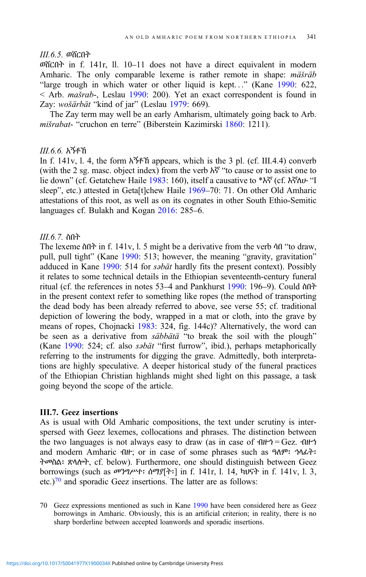# III.6.5. ወሸርበት

ወሸርበት in f. 141r, ll. 10–11 does not have a direct equivalent in modern Amharic. The only comparable lexeme is rather remote in shape: mäšräb "large trough in which water or other liquid is kept..." (Kane [1990](#page-33-0): 622, < Arb. mašrab-, Leslau [1990](#page-34-0): 200). Yet an exact correspondent is found in Zay: wošärbät "kind of jar" (Leslau [1979](#page-33-0): 669).

The Zay term may well be an early Amharism, ultimately going back to Arb. mišrabat- "cruchon en terre" (Biberstein Kazimirski [1860](#page-31-0): 1211).

# III.6.6. አኝቶኸ

In f. 141v, l. 4, the form  $\lambda^2 + \lambda^3$  appears, which is the 3 pl. (cf. III.4.4) converb (with the 2 sg. masc. object index) from the verb አኛ "to cause or to assist one to lie down" (cf. Getatchew Haile [1983:](#page-32-0) 160), itself a causative to \*እኛ (cf. እኛለሁ "I sleep", etc.) attested in Geta[t]chew Haile [1969](#page-32-0)–70: 71. On other Old Amharic attestations of this root, as well as on its cognates in other South Ethio-Semitic languages cf. Bulakh and Kogan [2016:](#page-31-0) 285–6.

# III.6.7. ስበት

The lexeme ስበት in f. 141v, l. 5 might be a derivative from the verb ሳበ "to draw, pull, pull tight" (Kane [1990:](#page-33-0) 513; however, the meaning "gravity, gravitation" adduced in Kane [1990:](#page-33-0) 514 for *səbät* hardly fits the present context). Possibly it relates to some technical details in the Ethiopian seventeenth-century funeral ritual (cf. the references in notes 53–4 and Pankhurst [1990:](#page-34-0) 196–9). Could ስበት in the present context refer to something like ropes (the method of transporting the dead body has been already referred to above, see verse 55; cf. traditional depiction of lowering the body, wrapped in a mat or cloth, into the grave by means of ropes, Chojnacki [1983](#page-31-0): 324, fig. 144c)? Alternatively, the word can be seen as a derivative from *säbbätä* "to break the soil with the plough" (Kane [1990:](#page-33-0) 524; cf. also səbät "first furrow", ibid.), perhaps metaphorically referring to the instruments for digging the grave. Admittedly, both interpretations are highly speculative. A deeper historical study of the funeral practices of the Ethiopian Christian highlands might shed light on this passage, a task going beyond the scope of the article.

# III.7. Geez insertions

As is usual with Old Amharic compositions, the text under scrutiny is interspersed with Geez lexemes, collocations and phrases. The distinction between the two languages is not always easy to draw (as in case of  $\mathbf{d} \mathbf{H} \mathbf{H} = \mathbf{G} \mathbf{e} \mathbf{z}$ .  $\mathbf{d} \mathbf{H} \mathbf{H}$ and modern Amharic ብዙ; or in case of some phrases such as ዓለም፡ ኀላፊት፡ ትመስል፡ ጽላሎት, cf. below). Furthermore, one should distinguish between Geez borrowings (such as መንግሥተ፡ ሰማያ[ትܼ ፡] in f. 141r, l. 14, ካህናት in f. 141v, l. 3, etc.)<sup>70</sup> and sporadic Geez insertions. The latter are as follows:

70 Geez expressions mentioned as such in Kane [1990](#page-33-0) have been considered here as Geez borrowings in Amharic. Obviously, this is an artificial criterion; in reality, there is no sharp borderline between accepted loanwords and sporadic insertions.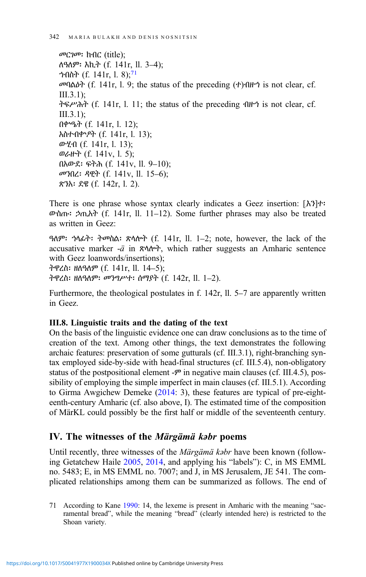መርገመ፡ ክብር (title); ለዓለም፡ እኪት (f. 141r, ll. 3–4); ንብስት (f. 141r, 1. 8);<sup>71</sup> መባልዕት (f. 141r, l. 9; the status of the preceding (ተ)ብዙኅ is not clear, cf. III.3.1); ትፍሥሕት (f. 141r, l. 11; the status of the preceding ብዙኅ is not clear, cf. III.3.1); በቍዔት (f. 141r, l. 12); አስተብቍዖት (f. 141r, l. 13); ውሂብ (f. 141r, l. 13); ወራዙት (f. 141v, l. 5); በአውደ፡ ፍትሕ (f. 141v, ll. 9–10); መንበረ፡ ዳዊት (f. 141v, ll. 15–6); ጽንአ፡ ደዌ (f. 142r, l. 2).

There is one phrase whose syntax clearly indicates a Geez insertion: [ܼእን]ተ፡ ውስጡ፡ ኃጢአት (f. 141r, ll. 11–12). Some further phrases may also be treated as written in Geez:

ዓለም፡ ኀላፊት፡ ትመስል፡ ጽላሎት (f. 141r, ll. 1–2; note, however, the lack of the accusative marker -ä in ጽላሎት, which rather suggests an Amharic sentence with Geez loanwords/insertions); ትዋረስ፡ ዘለዓለም (f. 141r, ll. 14–5); ትዋረስ፡ ዘለዓለም፡ መንግሥተ፡ ሰማያት (f. 142r, ll. 1–2).

Furthermore, the theological postulates in f. 142r, ll. 5–7 are apparently written in Geez.

# III.8. Linguistic traits and the dating of the text

On the basis of the linguistic evidence one can draw conclusions as to the time of creation of the text. Among other things, the text demonstrates the following archaic features: preservation of some gutturals (cf. III.3.1), right-branching syntax employed side-by-side with head-final structures (cf. III.5.4), non-obligatory status of the postpositional element  $-\mathcal{P}$  in negative main clauses (cf. III.4.5), possibility of employing the simple imperfect in main clauses (cf. III.5.1). According to Girma Awgichew Demeke ([2014:](#page-32-0) 3), these features are typical of pre-eighteenth-century Amharic (cf. also above, I). The estimated time of the composition of MärKL could possibly be the first half or middle of the seventeenth century.

# IV. The witnesses of the Märgämä kəbr poems

Until recently, three witnesses of the Märgämä kəbr have been known (following Getatchew Haile [2005](#page-32-0), [2014](#page-32-0), and applying his "labels"): C, in MS EMML no. 5483; E, in MS EMML no. 7007; and J, in MS Jerusalem, JE 541. The complicated relationships among them can be summarized as follows. The end of

71 According to Kane [1990:](#page-33-0) 14, the lexeme is present in Amharic with the meaning "sacramental bread", while the meaning "bread" (clearly intended here) is restricted to the Shoan variety.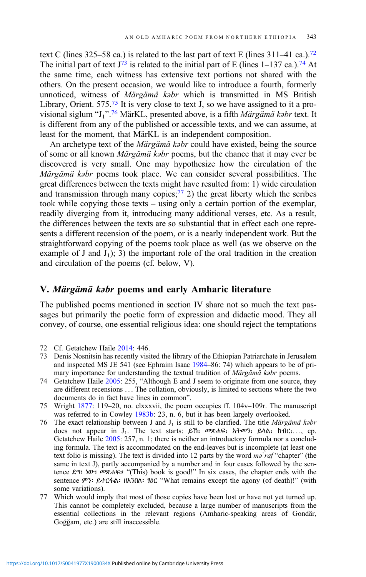text C (lines 325–58 ca.) is related to the last part of text E (lines 311–41 ca.).<sup>72</sup> The initial part of text  $J^{73}$  is related to the initial part of E (lines 1–137 ca.).<sup>74</sup> At the same time, each witness has extensive text portions not shared with the others. On the present occasion, we would like to introduce a fourth, formerly unnoticed, witness of Märgämä kəbr which is transmitted in MS British Library, Orient.  $575<sup>75</sup>$  It is very close to text J, so we have assigned to it a provisional siglum "J<sub>1</sub>".<sup>76</sup> MärKL, presented above, is a fifth *Märgämä kəbr* text. It is different from any of the published or accessible texts, and we can assume, at least for the moment, that MärKL is an independent composition.

An archetype text of the *Märgämä kabr* could have existed, being the source of some or all known Märgämä kəbr poems, but the chance that it may ever be discovered is very small. One may hypothesize how the circulation of the Märgämä kəbr poems took place. We can consider several possibilities. The great differences between the texts might have resulted from: 1) wide circulation and transmission through many copies; $^{77}$  2) the great liberty which the scribes took while copying those texts – using only a certain portion of the exemplar, readily diverging from it, introducing many additional verses, etc. As a result, the differences between the texts are so substantial that in effect each one represents a different recension of the poem, or is a nearly independent work. But the straightforward copying of the poems took place as well (as we observe on the example of J and  $J_1$ ; 3) the important role of the oral tradition in the creation and circulation of the poems (cf. below, V).

# V. Märgämä kəbr poems and early Amharic literature

The published poems mentioned in section IV share not so much the text passages but primarily the poetic form of expression and didactic mood. They all convey, of course, one essential religious idea: one should reject the temptations

- 72 Cf. Getatchew Haile [2014](#page-32-0): 446.
- 73 Denis Nosnitsin has recently visited the library of the Ethiopian Patriarchate in Jerusalem and inspected MS JE 541 (see Ephraim Isaac [1984](#page-32-0)–86: 74) which appears to be of primary importance for understanding the textual tradition of Märgämä kəbr poems.
- 74 Getatchew Haile [2005:](#page-32-0) 255, "Although E and J seem to originate from one source, they are different recensions ... The collation, obviously, is limited to sections where the two documents do in fact have lines in common".
- 75 Wright [1877:](#page-35-0) 119–20, no. clxxxvii, the poem occupies ff. 104v–109r. The manuscript was referred to in Cowley [1983b:](#page-31-0) 23, n. 6, but it has been largely overlooked.
- 76 The exact relationship between J and  $J_1$  is still to be clarified. The title *Märgämä kabr* does not appear in  $J_1$ . The text starts:  $\beta$ h:  $\varpi$ <sub>R</sub>h sh $\varpi$ <sub>i</sub>  $\beta$ A $\alpha$ ,  $\beta$ h  $\alpha$ <sub>i</sub>..., cp. Getatchew Haile  $2005$ : 257, n. 1; there is neither an introductory formula nor a concluding formula. The text is accommodated on the end-leaves but is incomplete (at least one text folio is missing). The text is divided into 12 parts by the word  $m\delta' r a f$  "chapter" (the same in text J), partly accompanied by a number and in four cases followed by the sentence ደግ፡ ነው፡ መጽሐፍ። "(This) book is good!" In six cases, the chapter ends with the sentence ምን፡ ይተርፋል፡ ዘእንበለ፡ ፃዕር "What remains except the agony (of death)!" (with some variations).
- 77 Which would imply that most of those copies have been lost or have not yet turned up. This cannot be completely excluded, because a large number of manuscripts from the essential collections in the relevant regions (Amharic-speaking areas of Gondär, Goğğam, etc.) are still inaccessible.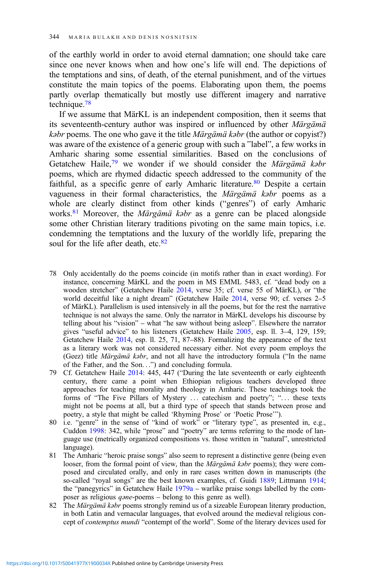of the earthly world in order to avoid eternal damnation; one should take care since one never knows when and how one's life will end. The depictions of the temptations and sins, of death, of the eternal punishment, and of the virtues constitute the main topics of the poems. Elaborating upon them, the poems partly overlap thematically but mostly use different imagery and narrative technique.78

If we assume that MärKL is an independent composition, then it seems that its seventeenth-century author was inspired or influenced by other Märgämä kəbr poems. The one who gave it the title Märgämä kəbr (the author or copyist?) was aware of the existence of a generic group with such a "label", a few works in Amharic sharing some essential similarities. Based on the conclusions of Getatchew Haile, $79$  we wonder if we should consider the Märgämä kəbr poems, which are rhymed didactic speech addressed to the community of the faithful, as a specific genre of early Amharic literature.<sup>80</sup> Despite a certain vagueness in their formal characteristics, the Märgämä kəbr poems as a whole are clearly distinct from other kinds ("genres") of early Amharic works.<sup>81</sup> Moreover, the *Märgämä kabr* as a genre can be placed alongside some other Christian literary traditions pivoting on the same main topics, i.e. condemning the temptations and the luxury of the worldly life, preparing the soul for the life after death, etc. $82$ 

- 78 Only accidentally do the poems coincide (in motifs rather than in exact wording). For instance, concerning MärKL and the poem in MS EMML 5483, cf. "dead body on a wooden stretcher" (Getatchew Haile [2014](#page-32-0), verse 35; cf. verse 55 of MärKL), or "the world deceitful like a night dream" (Getatchew Haile [2014](#page-32-0), verse 90; cf. verses 2–5 of MärKL). Parallelism is used intensively in all the poems, but for the rest the narrative technique is not always the same. Only the narrator in MärKL develops his discourse by telling about his "vision" – what "he saw without being asleep". Elsewhere the narrator gives "useful advice" to his listeners (Getatchew Haile [2005,](#page-32-0) esp. ll. 3–4, 129, 159; Getatchew Haile [2014](#page-32-0), esp. ll. 25, 71, 87–88). Formalizing the appearance of the text as a literary work was not considered necessary either. Not every poem employs the (Geez) title Märgämä kəbr, and not all have the introductory formula ("In the name of the Father, and the Son...") and concluding formula.
- 79 Cf. Getatchew Haile [2014:](#page-32-0) 445, 447 ("During the late seventeenth or early eighteenth century, there came a point when Ethiopian religious teachers developed three approaches for teaching morality and theology in Amharic. These teachings took the forms of "The Five Pillars of Mystery ... catechism and poetry"; "... these texts might not be poems at all, but a third type of speech that stands between prose and poetry, a style that might be called 'Rhyming Prose' or 'Poetic Prose'").
- 80 i.e. "genre" in the sense of "kind of work" or "literary type", as presented in, e.g., Cuddon [1998](#page-31-0): 342, while "prose" and "poetry" are terms referring to the mode of language use (metrically organized compositions vs. those written in "natural", unrestricted language).
- 81 The Amharic "heroic praise songs" also seem to represent a distinctive genre (being even looser, from the formal point of view, than the Märgämä kəbr poems); they were composed and circulated orally, and only in rare cases written down in manuscripts (the so-called "royal songs" are the best known examples, cf. Guidi [1889;](#page-33-0) Littmann [1914;](#page-34-0) the "panegyrics" in Getatchew Haile [1979a](#page-32-0) – warlike praise songs labelled by the composer as religious qəne-poems – belong to this genre as well).
- 82 The Märgämä kəbr poems strongly remind us of a sizeable European literary production, in both Latin and vernacular languages, that evolved around the medieval religious concept of contemptus mundi "contempt of the world". Some of the literary devices used for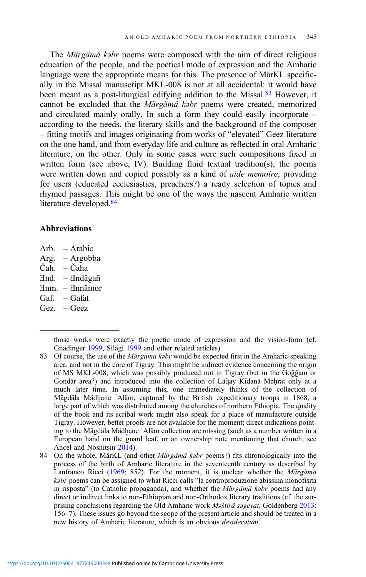The Märgämä kəbr poems were composed with the aim of direct religious education of the people, and the poetical mode of expression and the Amharic language were the appropriate means for this. The presence of MärKL specifically in the Missal manuscript MKL-008 is not at all accidental: it would have been meant as a post-liturgical edifying addition to the Missal.<sup>83</sup> However, it cannot be excluded that the Märgämä kəbr poems were created, memorized and circulated mainly orally. In such a form they could easily incorporate – according to the needs, the literary skills and the background of the composer – fitting motifs and images originating from works of "elevated" Geez literature on the one hand, and from everyday life and culture as reflected in oral Amharic literature, on the other. Only in some cases were such compositions fixed in written form (see above, IV). Building fluid textual tradition(s), the poems were written down and copied possibly as a kind of *aide memoire*, providing for users (educated ecclesiastics, preachers?) a ready selection of topics and rhymed passages. This might be one of the ways the nascent Amharic written literature developed.<sup>84</sup>

# Abbreviations

- Arb. Arabic
- Arg. Argobba
- Čah. Čaha
- Ǝnd. Ǝndägañ
- Ǝnm. Ǝnnämor
- Gaf. Gafat
- Gez. Geez

- 83 Of course, the use of the *Märgämä kəbr* would be expected first in the Amharic-speaking area, and not in the core of Tigray. This might be indirect evidence concerning the origin of MS MKL-008, which was possibly produced not in Tigray (but in the Goğğam or Gondär area?) and introduced into the collection of Läq̆ay Kidanä Mǝḥrät only at a much later time. In assuming this, one immediately thinks of the collection of Mägdäla Mädhane `Aläm, captured by the British expeditionary troops in 1868, a large part of which was distributed among the churches of northern Ethiopia. The quality of the book and its scribal work might also speak for a place of manufacture outside Tigray. However, better proofs are not available for the moment; direct indications pointing to the Mägdäla Mädḫane ʿAläm collection are missing (such as a number written in a European hand on the guard leaf, or an ownership note mentioning that church; see Ancel and Nosnitsin [2014\)](#page-31-0).
- 84 On the whole, MärKL (and other Märgämä kəbr poems?) fits chronologically into the process of the birth of Amharic literature in the seventeenth century as described by Lanfranco Ricci [\(1969](#page-34-0): 852). For the moment, it is unclear whether the Märgämä kabr poems can be assigned to what Ricci calls "la controproduzione abissina monofisita in risposta" (to Catholic propaganda), and whether the Märgämä kəbr poems had any direct or indirect links to non-Ethiopian and non-Orthodox literary traditions (cf. the surprising conclusions regarding the Old Amharic work  $M\phi\phi$  stir as a Goldenberg [2013](#page-33-0): 156–7). These issues go beyond the scope of the present article and should be treated in a new history of Amharic literature, which is an obvious desideratum.

those works were exactly the poetic mode of expression and the vision-form (cf. Gnädinger [1999,](#page-33-0) Silagi [1999](#page-34-0) and other related articles).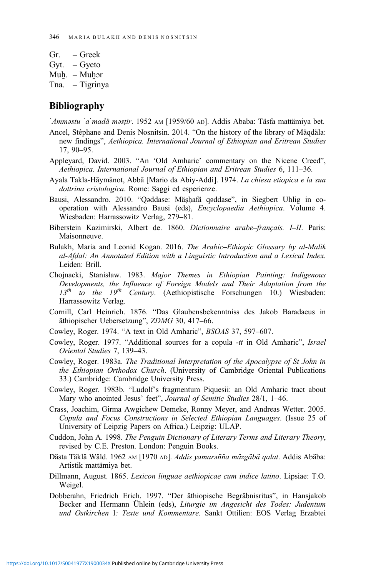- <span id="page-31-0"></span>Gr. – Greek Gyt. – Gyeto
- Muḫ. Muḫǝr

Tna. – Tigrinya

# Bibliography

ʾAmməstu ʾaʿmadä məsṭir. 1952 AM [1959/60 AD]. Addis Ababa: Täsfa mattämiya bet.

- Ancel, Stéphane and Denis Nosnitsin. 2014. "On the history of the library of Mäqdäla: new findings", Aethiopica. International Journal of Ethiopian and Eritrean Studies 17, 90–95.
- Appleyard, David. 2003. "An 'Old Amharic' commentary on the Nicene Creed", Aethiopica. International Journal of Ethiopian and Eritrean Studies 6, 111–36.
- Ayala Takla-Hāymānot, Abbā [Mario da Abiy-Addì]. 1974. La chiesa etiopica e la sua dottrina cristologica. Rome: Saggi ed esperienze.
- Bausi, Alessandro. 2010. "Qəddase: Mäṣḥafä qəddase", in Siegbert Uhlig in cooperation with Alessandro Bausi (eds), Encyclopaedia Aethiopica. Volume 4. Wiesbaden: Harrassowitz Verlag, 279–81.
- Biberstein Kazimirski, Albert de. 1860. Dictionnaire arabe–français. I–II. Paris: Maisonneuve.
- Bulakh, Maria and Leonid Kogan. 2016. The Arabic–Ethiopic Glossary by al-Malik al-Afḍal: An Annotated Edition with a Linguistic Introduction and a Lexical Index. Leiden: Brill.
- Chojnacki, Stanisław. 1983. Major Themes in Ethiopian Painting: Indigenous Developments, the Influence of Foreign Models and Their Adaptation from the  $13<sup>th</sup>$  to the  $19<sup>th</sup>$  Century. (Aethiopistische Forschungen 10.) Wiesbaden: Harrassowitz Verlag.
- Cornill, Carl Heinrich. 1876. "Das Glaubensbekenntniss des Jakob Baradaeus in äthiopischer Uebersetzung", ZDMG 30, 417–66.
- Cowley, Roger. 1974. "A text in Old Amharic", BSOAS 37, 597–607.
- Cowley, Roger. 1977. "Additional sources for a copula -tt in Old Amharic", Israel Oriental Studies 7, 139–43.
- Cowley, Roger. 1983a. The Traditional Interpretation of the Apocalypse of St John in the Ethiopian Orthodox Church. (University of Cambridge Oriental Publications 33.) Cambridge: Cambridge University Press.
- Cowley, Roger. 1983b. "Ludolf's fragmentum Piquesii: an Old Amharic tract about Mary who anointed Jesus' feet", Journal of Semitic Studies 28/1, 1–46.
- Crass, Joachim, Girma Awgichew Demeke, Ronny Meyer, and Andreas Wetter. 2005. Copula and Focus Constructions in Selected Ethiopian Languages. (Issue 25 of University of Leipzig Papers on Africa.) Leipzig: ULAP.
- Cuddon, John A. 1998. The Penguin Dictionary of Literary Terms and Literary Theory, revised by C.E. Preston. London: Penguin Books.
- Dästa Täklä Wäld. 1962 AM [1970 AD]. Addis yamarañña mäzgäbä qalat. Addis Abäba: Artistik mattämiya bet.
- Dillmann, August. 1865. Lexicon linguae aethiopicae cum indice latino. Lipsiae: T.O. Weigel.
- Dobberahn, Friedrich Erich. 1997. "Der äthiopische Begräbnisritus", in Hansjakob Becker and Hermann Ühlein (eds), Liturgie im Angesicht des Todes: Judentum und Ostkirchen I: Texte und Kommentare. Sankt Ottilien: EOS Verlag Erzabtei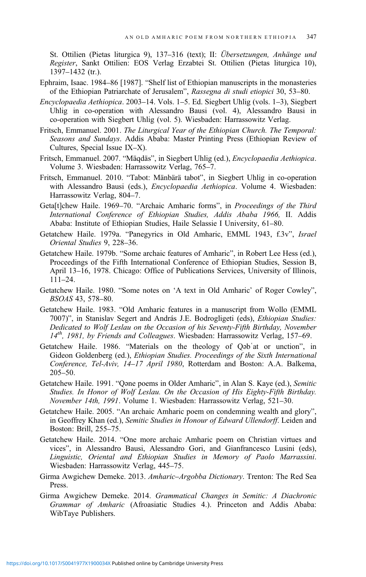<span id="page-32-0"></span>St. Ottilien (Pietas liturgica 9), 137–316 (text); II: Übersetzungen, Anhänge und Register, Sankt Ottilien: EOS Verlag Erzabtei St. Ottilien (Pietas liturgica 10), 1397–1432 (tr.).

- Ephraim, Isaac. 1984–86 [1987]. "Shelf list of Ethiopian manuscripts in the monasteries of the Ethiopian Patriarchate of Jerusalem", Rassegna di studi etiopici 30, 53–80.
- Encyclopaedia Aethiopica. 2003–14. Vols. 1–5. Ed. Siegbert Uhlig (vols. 1–3), Siegbert Uhlig in co-operation with Alessandro Bausi (vol. 4), Alessandro Bausi in co-operation with Siegbert Uhlig (vol. 5). Wiesbaden: Harrassowitz Verlag.
- Fritsch, Emmanuel. 2001. The Liturgical Year of the Ethiopian Church. The Temporal: Seasons and Sundays. Addis Ababa: Master Printing Press (Ethiopian Review of Cultures, Special Issue IX–X).
- Fritsch, Emmanuel. 2007. "Mäqdäs", in Siegbert Uhlig (ed.), Encyclopaedia Aethiopica. Volume 3. Wiesbaden: Harrassowitz Verlag, 765–7.
- Fritsch, Emmanuel. 2010. "Tabot: Mänbärä tabot", in Siegbert Uhlig in co-operation with Alessandro Bausi (eds.), Encyclopaedia Aethiopica. Volume 4. Wiesbaden: Harrassowitz Verlag, 804–7.
- Geta[t]chew Haile. 1969–70. "Archaic Amharic forms", in *Proceedings of the Third* International Conference of Ethiopian Studies, Addis Ababa 1966, II. Addis Ababa: Institute of Ethiopian Studies, Haile Selassie I University, 61–80.
- Getatchew Haile. 1979a. "Panegyrics in Old Amharic, EMML 1943, f.3v", Israel Oriental Studies 9, 228–36.
- Getatchew Haile. 1979b. "Some archaic features of Amharic", in Robert Lee Hess (ed.), Proceedings of the Fifth International Conference of Ethiopian Studies, Session B, April 13–16, 1978. Chicago: Office of Publications Services, University of Illinois, 111–24.
- Getatchew Haile. 1980. "Some notes on 'A text in Old Amharic' of Roger Cowley", BSOAS 43, 578–80.
- Getatchew Haile. 1983. "Old Amharic features in a manuscript from Wollo (EMML 7007)", in Stanislav Segert and András J.E. Bodrogligeti (eds), Ethiopian Studies: Dedicated to Wolf Leslau on the Occasion of his Seventy-Fifth Birthday, November  $14<sup>th</sup>$ , 1981, by Friends and Colleagues. Wiesbaden: Harrassowitz Verlag, 157–69.
- Getatchew Haile. 1986. "Materials on the theology of Qəbʿat or unction", in Gideon Goldenberg (ed.), Ethiopian Studies. Proceedings of the Sixth International Conference, Tel-Aviv, 14–17 April 1980, Rotterdam and Boston: A.A. Balkema, 205–50.
- Getatchew Haile. 1991. "Qəne poems in Older Amharic", in Alan S. Kaye (ed.), Semitic Studies. In Honor of Wolf Leslau. On the Occasion of His Eighty-Fifth Birthday. November 14th, 1991. Volume 1. Wiesbaden: Harrassowitz Verlag, 521–30.
- Getatchew Haile. 2005. "An archaic Amharic poem on condemning wealth and glory", in Geoffrey Khan (ed.), Semitic Studies in Honour of Edward Ullendorff. Leiden and Boston: Brill, 255–75.
- Getatchew Haile. 2014. "One more archaic Amharic poem on Christian virtues and vices", in Alessandro Bausi, Alessandro Gori, and Gianfrancesco Lusini (eds), Linguistic, Oriental and Ethiopian Studies in Memory of Paolo Marrassini. Wiesbaden: Harrassowitz Verlag, 445–75.
- Girma Awgichew Demeke. 2013. Amharic–Argobba Dictionary. Trenton: The Red Sea Press.
- Girma Awgichew Demeke. 2014. Grammatical Changes in Semitic: A Diachronic Grammar of Amharic (Afroasiatic Studies 4.). Princeton and Addis Ababa: WibTaye Publishers.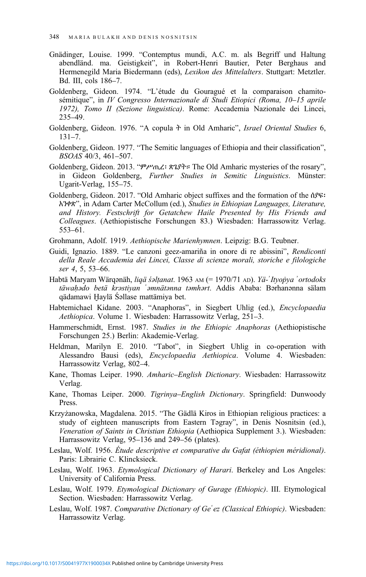- <span id="page-33-0"></span>Gnädinger, Louise. 1999. "Contemptus mundi, A.C. m. als Begriff und Haltung abendländ. ma. Geistigkeit", in Robert-Henri Bautier, Peter Berghaus and Hermenegild Maria Biedermann (eds), Lexikon des Mittelalters. Stuttgart: Metztler. Bd. III, cols 186–7.
- Goldenberg, Gideon. 1974. "L'étude du Gouragué et la comparaison chamitosémitique", in IV Congresso Internazionale di Studi Etiopici (Roma, 10–15 aprile 1972), Tomo II (Sezione linguistica). Rome: Accademia Nazionale dei Lincei, 235–49.
- Goldenberg, Gideon. 1976. "A copula  $\dot{\tau}$  in Old Amharic", Israel Oriental Studies 6, 131–7.
- Goldenberg, Gideon. 1977. "The Semitic languages of Ethiopia and their classification", BSOAS 40/3, 461–507.
- Goldenberg, Gideon. 2013. "ምሥጢረ፡ ጽጌያት። The Old Amharic mysteries of the rosary", in Gideon Goldenberg, Further Studies in Semitic Linguistics. Münster: Ugarit-Verlag, 155–75.
- Goldenberg, Gideon. 2017. "Old Amharic object suffixes and the formation of the ሰያፍ፡ አንቀጽ", in Adam Carter McCollum (ed.), Studies in Ethiopian Languages, Literature, and History. Festschrift for Getatchew Haile Presented by His Friends and Colleagues. (Aethiopistische Forschungen 83.) Wiesbaden: Harrassowitz Verlag. 553–61.
- Grohmann, Adolf. 1919. Aethiopische Marienhymnen. Leipzig: B.G. Teubner.
- Guidi, Ignazio. 1889. "Le canzoni geez-amariña in onore di re abissini", Rendiconti della Reale Accademia dei Lincei, Classe di scienze morali, storiche e filologiche ser 4, 5, 53–66.
- Habtä Maryam Wärqənäh, liqä śəlțanat. 1963 AM (= 1970/71 AD). Yä-'Ityopya 'ortodoks täwahado betä krastiyan <sup>'</sup>amnätanna tamhart. Addis Ababa: Bərhanənna sälam qädamawi Ḫaylä Śəllase mattämiya bet.
- Habtemichael Kidane. 2003. "Anaphoras", in Siegbert Uhlig (ed.), Encyclopaedia Aethiopica. Volume 1. Wiesbaden: Harrassowitz Verlag, 251–3.
- Hammerschmidt, Ernst. 1987. Studies in the Ethiopic Anaphoras (Aethiopistische Forschungen 25.) Berlin: Akademie-Verlag.
- Heldman, Marilyn E. 2010. "Tabot", in Siegbert Uhlig in co-operation with Alessandro Bausi (eds), Encyclopaedia Aethiopica. Volume 4. Wiesbaden: Harrassowitz Verlag, 802–4.
- Kane, Thomas Leiper. 1990. Amharic–English Dictionary. Wiesbaden: Harrassowitz Verlag.
- Kane, Thomas Leiper. 2000. Tigrinya–English Dictionary. Springfield: Dunwoody Press.
- Krzyżanowska, Magdalena. 2015. "The Gädlä Kiros in Ethiopian religious practices: a study of eighteen manuscripts from Eastern Tagray", in Denis Nosnitsin (ed.), Veneration of Saints in Christian Ethiopia (Aethiopica Supplement 3.). Wiesbaden: Harrassowitz Verlag, 95–136 and 249–56 (plates).
- Leslau, Wolf. 1956. Étude descriptive et comparative du Gafat (éthiopien méridional). Paris: Librairie C. Klincksieck.
- Leslau, Wolf. 1963. Etymological Dictionary of Harari. Berkeley and Los Angeles: University of California Press.
- Leslau, Wolf. 1979. Etymological Dictionary of Gurage (Ethiopic). III. Etymological Section. Wiesbaden: Harrassowitz Verlag.
- Leslau, Wolf. 1987. Comparative Dictionary of Ge'ez (Classical Ethiopic). Wiesbaden: Harrassowitz Verlag.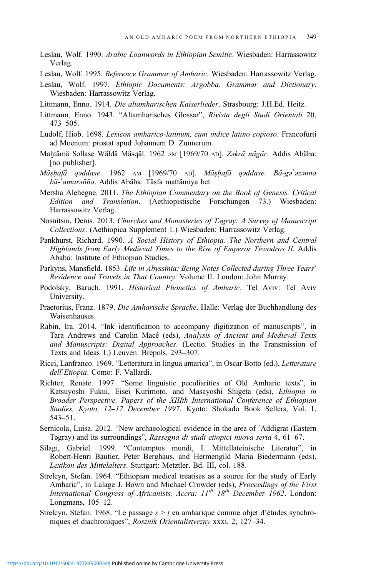- <span id="page-34-0"></span>Leslau, Wolf. 1990. Arabic Loanwords in Ethiopian Semitic. Wiesbaden: Harrassowitz Verlag.
- Leslau, Wolf. 1995. Reference Grammar of Amharic. Wiesbaden: Harrassowitz Verlag.
- Leslau, Wolf. 1997. Ethiopic Documents: Argobba. Grammar and Dictionary. Wiesbaden: Harrassowitz Verlag.
- Littmann, Enno. 1914. Die altamharischen Kaiserlieder. Strasbourg: J.H.Ed. Heitz.
- Littmann, Enno. 1943. "Altamharisches Glossar", Rivista degli Studi Orientali 20, 473–505.
- Ludolf, Hiob. 1698. Lexicon amharico-latinum, cum indice latino copioso. Francofurti ad Moenum: prostat apud Johannem D. Zunnerum.
- Maḫtämä Səllase Wäldä Mäsqäl. 1962 AM [1969/70 AD]. Zəkrä nägär. Addis Abäba: [no publisher].
- Mäṣḥafä qəddase. 1962 AM [1969/70 AD]. Mäṣḥafä qəddase. Bä-gəʿəzənna bä-ʾamarəñña. Addis Abäba: Täsfa mattämiya bet.
- Mersha Alehegne. 2011. The Ethiopian Commentary on the Book of Genesis. Critical Edition and Translation. (Aethiopistische Forschungen 73.) Wiesbaden: Harrassowitz Verlag.
- Nosnitsin, Denis. 2013. Churches and Monasteries of Təgray: A Survey of Manuscript Collections. (Aethiopica Supplement 1.) Wiesbaden: Harrassowitz Verlag.
- Pankhurst, Richard. 1990. A Social History of Ethiopia. The Northern and Central Highlands from Early Medieval Times to the Rise of Emperor Téwodros II. Addis Ababa: Institute of Ethiopian Studies.
- Parkyns, Mansfield. 1853. Life in Abyssinia: Being Notes Collected during Three Years' Residence and Travels in That Country. Volume II. London: John Murray.
- Podolsky, Baruch. 1991. Historical Phonetics of Amharic. Tel Aviv: Tel Aviv University.
- Praetorius, Franz. 1879. Die Amharische Sprache. Halle: Verlag der Buchhandlung des Waisenhauses.
- Rabin, Ira. 2014. "Ink identification to accompany digitization of manuscripts", in Tara Andrews and Carolin Macé (eds), Analysis of Ancient and Medieval Texts and Manuscripts: Digital Approaches. (Lectio. Studies in the Transmission of Texts and Ideas 1.) Leuven: Brepols, 293–307.
- Ricci, Lanfranco. 1969. "Letteratura in lingua amarica", in Oscar Botto (ed.), Letterature dell'Etiopia. Como: F. Vallardi.
- Richter, Renate. 1997. "Some linguistic peculiarities of Old Amharic texts", in Katsuyoshi Fukui, Eisei Kurimoto, and Masayoshi Shigeta (eds), Ethiopia in Broader Perspective, Papers of the XIIIth International Conference of Ethiopian Studies, Kyoto, 12–17 December 1997. Kyoto: Shokado Book Sellers, Vol. 1, 543–51.
- Sernicola, Luisa. 2012. "New archaeological evidence in the area of ʿAddigrat (Eastern Təgray) and its surroundings", Rassegna di studi etiopici nuova seria 4, 61–67.
- Silagi, Gabriel. 1999. "Contemptus mundi, I. Mittellateinische Literatur", in Robert-Henri Bautier, Peter Berghaus, and Hermengild Maria Biedermann (eds), Lexikon des Mittelalters. Stuttgart: Metztler. Bd. III, col. 188.
- Strelcyn, Stefan. 1964. "Ethiopian medical treatises as a source for the study of Early Amharic", in Lalage J. Bown and Michael Crowder (eds), Proceedings of the First International Congress of Africanists, Accra:  $11^{th}-18^{th}$  December 1962. London: Longmans, 105–12.
- Strelcyn, Stefan. 1968. "Le passage  $s > t$  en amharique comme objet d'études synchroniques et diachroniques", Rosznik Orientalistyczny xxxi, 2, 127–34.